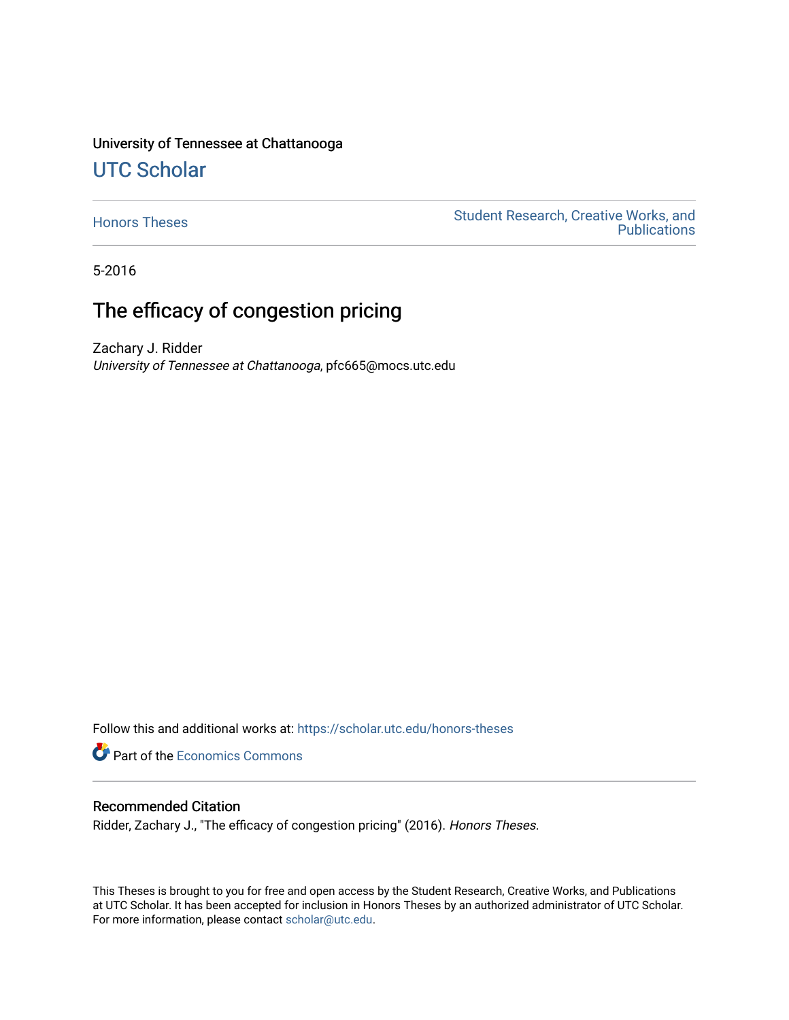# University of Tennessee at Chattanooga

# [UTC Scholar](https://scholar.utc.edu/)

[Honors Theses](https://scholar.utc.edu/honors-theses) **Student Research, Creative Works, and** Student Research, Creative Works, and **Publications** 

5-2016

# The efficacy of congestion pricing

Zachary J. Ridder University of Tennessee at Chattanooga, pfc665@mocs.utc.edu

Follow this and additional works at: [https://scholar.utc.edu/honors-theses](https://scholar.utc.edu/honors-theses?utm_source=scholar.utc.edu%2Fhonors-theses%2F76&utm_medium=PDF&utm_campaign=PDFCoverPages) 

**Part of the [Economics Commons](http://network.bepress.com/hgg/discipline/340?utm_source=scholar.utc.edu%2Fhonors-theses%2F76&utm_medium=PDF&utm_campaign=PDFCoverPages)** 

#### Recommended Citation

Ridder, Zachary J., "The efficacy of congestion pricing" (2016). Honors Theses.

This Theses is brought to you for free and open access by the Student Research, Creative Works, and Publications at UTC Scholar. It has been accepted for inclusion in Honors Theses by an authorized administrator of UTC Scholar. For more information, please contact [scholar@utc.edu](mailto:scholar@utc.edu).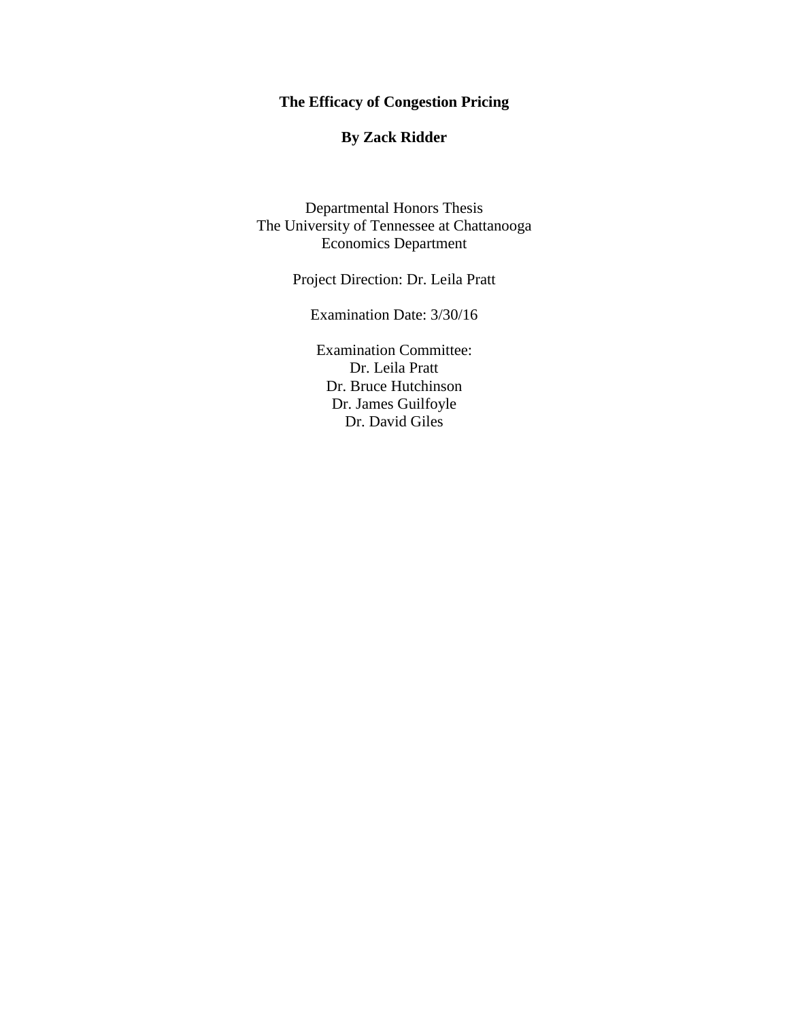## **The Efficacy of Congestion Pricing**

## **By Zack Ridder**

Departmental Honors Thesis The University of Tennessee at Chattanooga Economics Department

Project Direction: Dr. Leila Pratt

Examination Date: 3/30/16

Examination Committee: Dr. Leila Pratt Dr. Bruce Hutchinson Dr. James Guilfoyle Dr. David Giles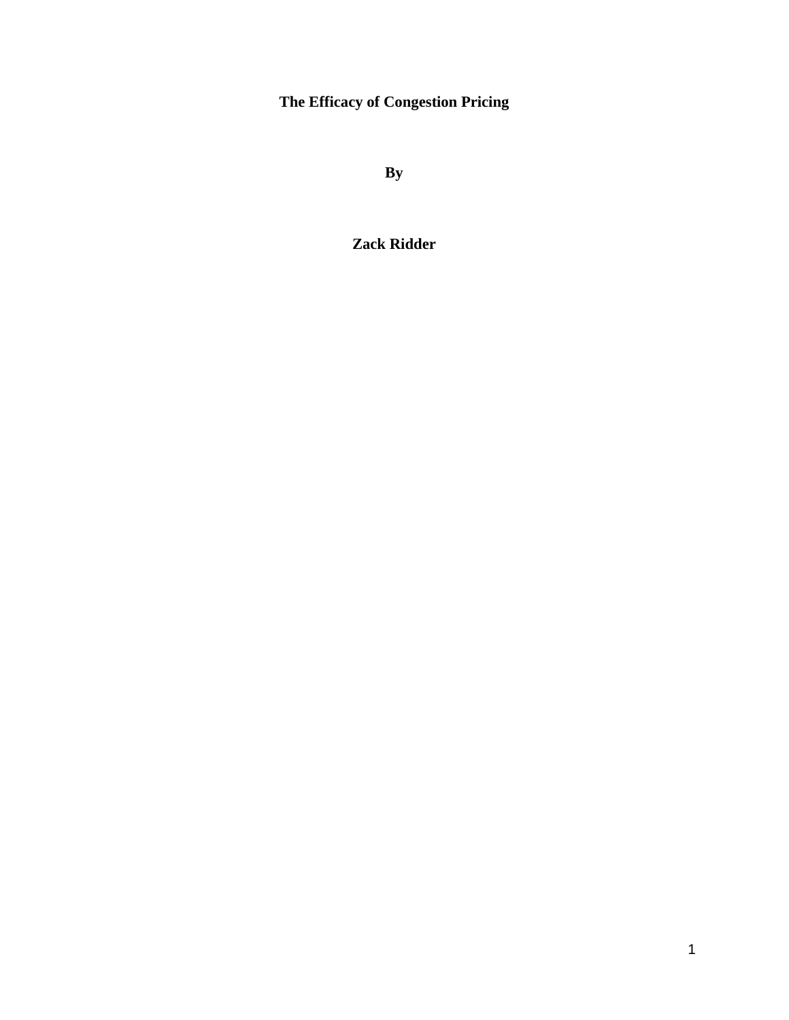**The Efficacy of Congestion Pricing**

**By**

**Zack Ridder**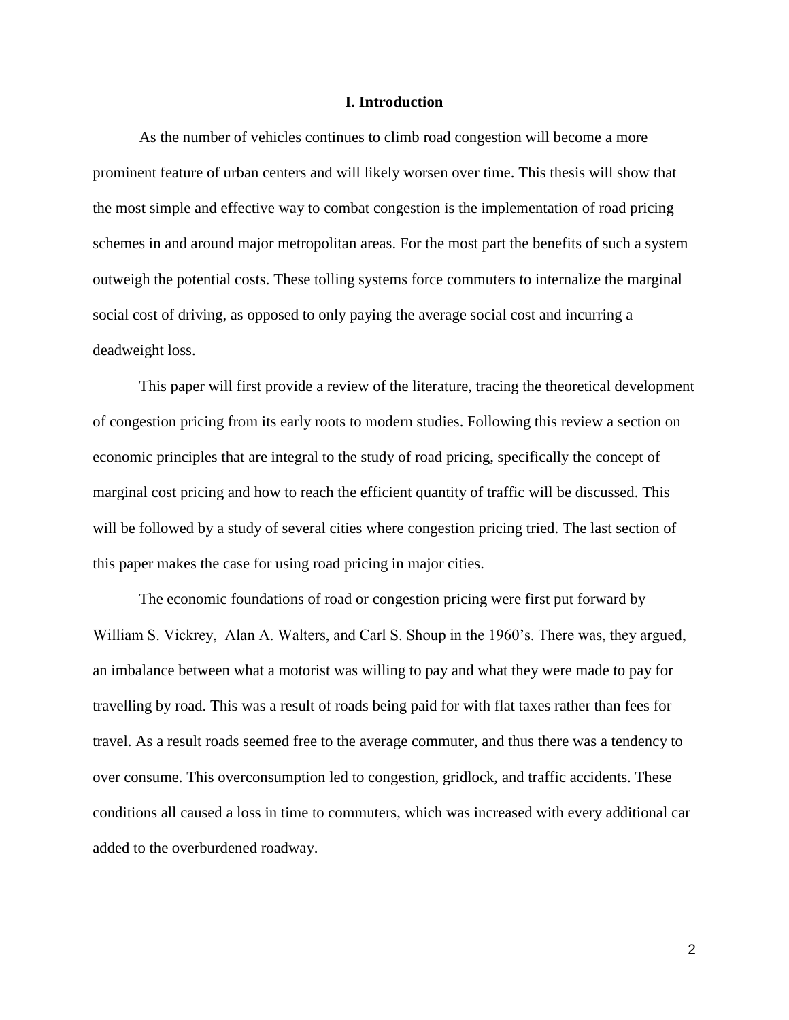#### **I. Introduction**

As the number of vehicles continues to climb road congestion will become a more prominent feature of urban centers and will likely worsen over time. This thesis will show that the most simple and effective way to combat congestion is the implementation of road pricing schemes in and around major metropolitan areas. For the most part the benefits of such a system outweigh the potential costs. These tolling systems force commuters to internalize the marginal social cost of driving, as opposed to only paying the average social cost and incurring a deadweight loss.

This paper will first provide a review of the literature, tracing the theoretical development of congestion pricing from its early roots to modern studies. Following this review a section on economic principles that are integral to the study of road pricing, specifically the concept of marginal cost pricing and how to reach the efficient quantity of traffic will be discussed. This will be followed by a study of several cities where congestion pricing tried. The last section of this paper makes the case for using road pricing in major cities.

The economic foundations of road or congestion pricing were first put forward by William S. Vickrey, Alan A. Walters, and Carl S. Shoup in the 1960's. There was, they argued, an imbalance between what a motorist was willing to pay and what they were made to pay for travelling by road. This was a result of roads being paid for with flat taxes rather than fees for travel. As a result roads seemed free to the average commuter, and thus there was a tendency to over consume. This overconsumption led to congestion, gridlock, and traffic accidents. These conditions all caused a loss in time to commuters, which was increased with every additional car added to the overburdened roadway.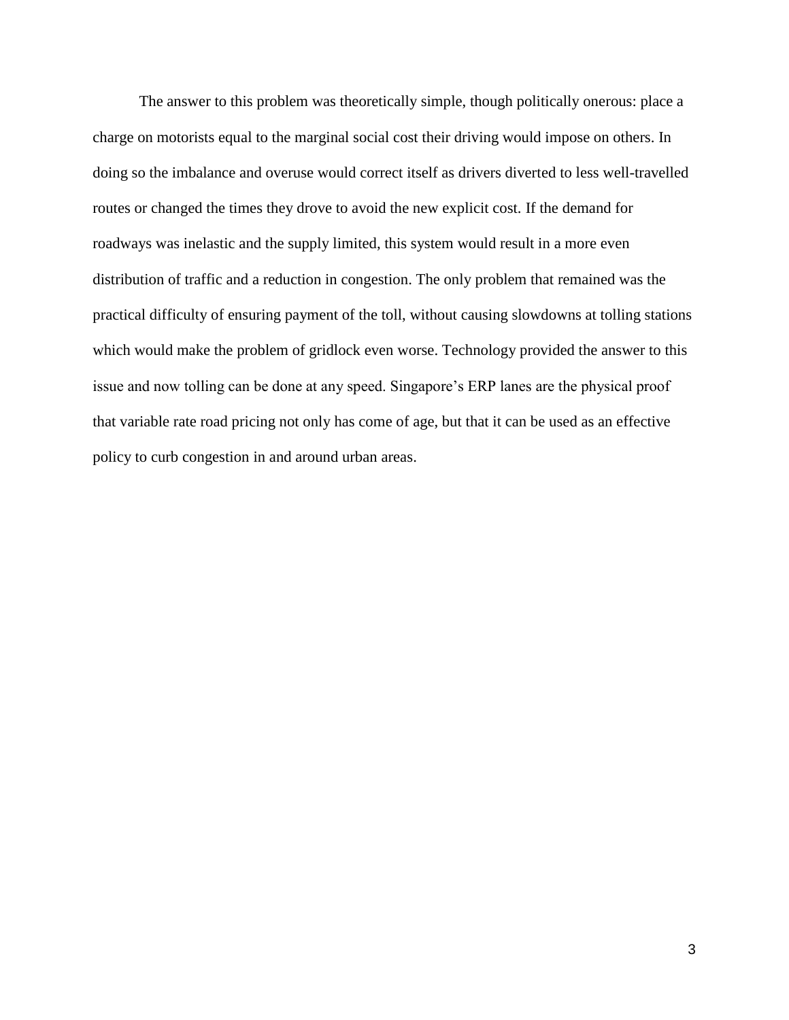The answer to this problem was theoretically simple, though politically onerous: place a charge on motorists equal to the marginal social cost their driving would impose on others. In doing so the imbalance and overuse would correct itself as drivers diverted to less well-travelled routes or changed the times they drove to avoid the new explicit cost. If the demand for roadways was inelastic and the supply limited, this system would result in a more even distribution of traffic and a reduction in congestion. The only problem that remained was the practical difficulty of ensuring payment of the toll, without causing slowdowns at tolling stations which would make the problem of gridlock even worse. Technology provided the answer to this issue and now tolling can be done at any speed. Singapore's ERP lanes are the physical proof that variable rate road pricing not only has come of age, but that it can be used as an effective policy to curb congestion in and around urban areas.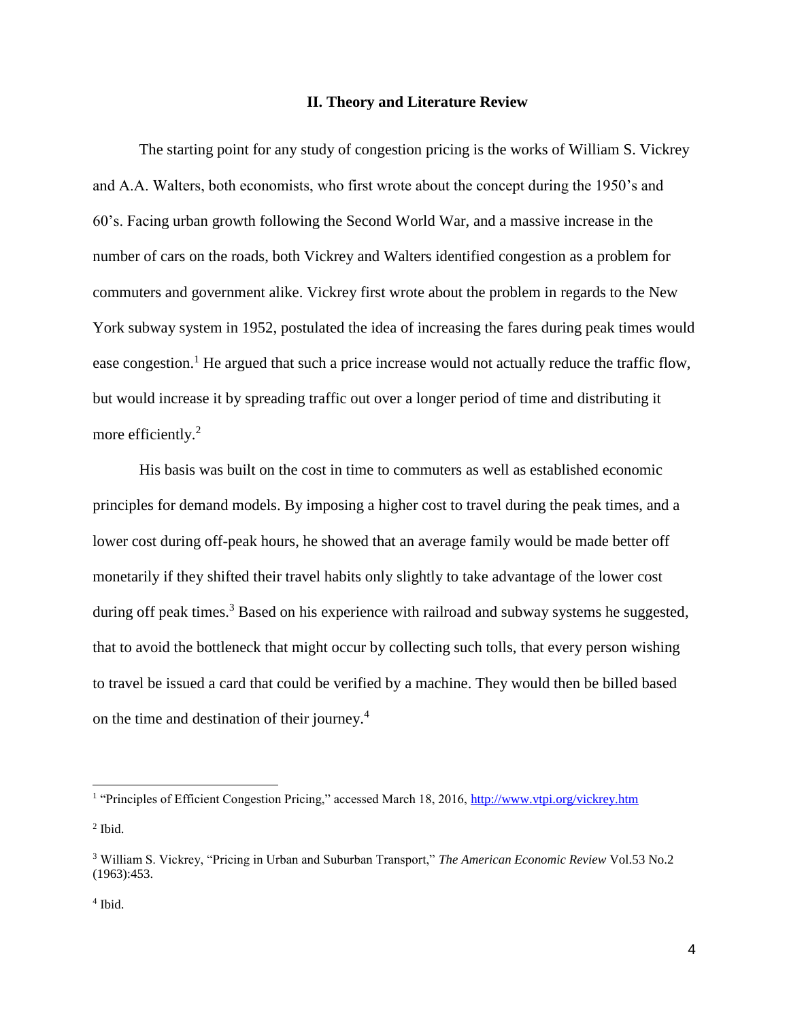#### **II. Theory and Literature Review**

The starting point for any study of congestion pricing is the works of William S. Vickrey and A.A. Walters, both economists, who first wrote about the concept during the 1950's and 60's. Facing urban growth following the Second World War, and a massive increase in the number of cars on the roads, both Vickrey and Walters identified congestion as a problem for commuters and government alike. Vickrey first wrote about the problem in regards to the New York subway system in 1952, postulated the idea of increasing the fares during peak times would ease congestion.<sup>1</sup> He argued that such a price increase would not actually reduce the traffic flow, but would increase it by spreading traffic out over a longer period of time and distributing it more efficiently.<sup>2</sup>

His basis was built on the cost in time to commuters as well as established economic principles for demand models. By imposing a higher cost to travel during the peak times, and a lower cost during off-peak hours, he showed that an average family would be made better off monetarily if they shifted their travel habits only slightly to take advantage of the lower cost during off peak times.<sup>3</sup> Based on his experience with railroad and subway systems he suggested, that to avoid the bottleneck that might occur by collecting such tolls, that every person wishing to travel be issued a card that could be verified by a machine. They would then be billed based on the time and destination of their journey.<sup>4</sup>

<sup>&</sup>lt;sup>1</sup> "Principles of Efficient Congestion Pricing," accessed March 18, 2016, http://www.vtpi.org/vickrey.htm  $<sup>2</sup>$  Ibid.</sup>

<sup>3</sup> William S. Vickrey, "Pricing in Urban and Suburban Transport," *The American Economic Review* Vol.53 No.2 (1963):453.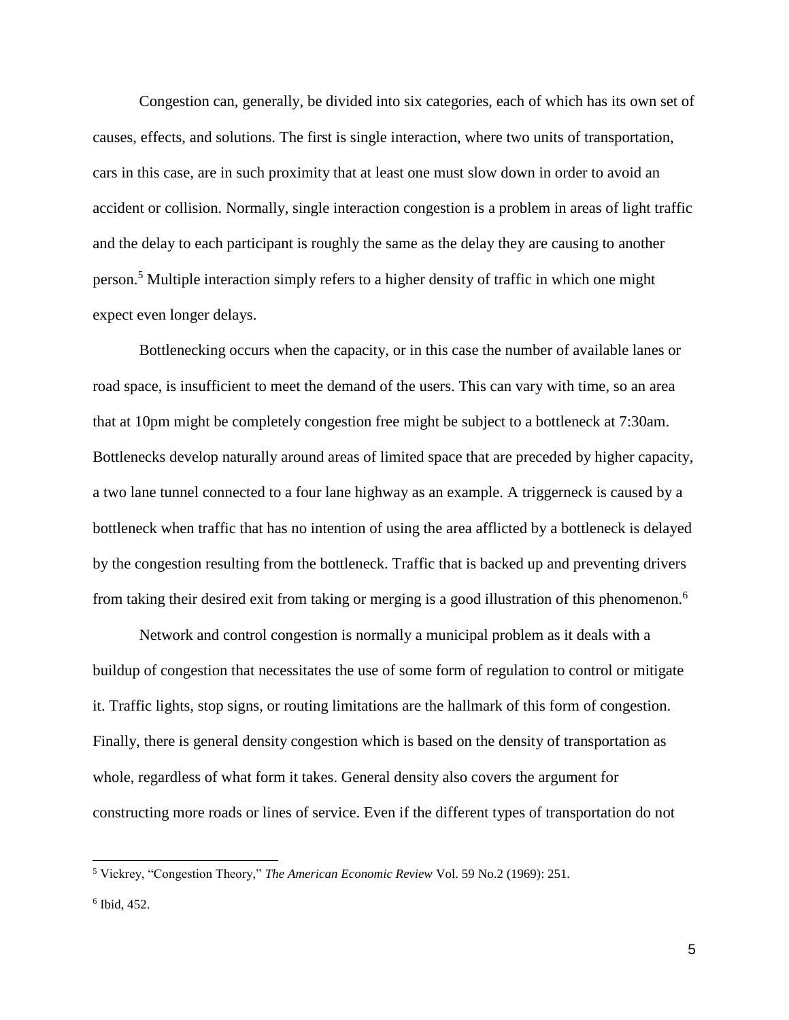Congestion can, generally, be divided into six categories, each of which has its own set of causes, effects, and solutions. The first is single interaction, where two units of transportation, cars in this case, are in such proximity that at least one must slow down in order to avoid an accident or collision. Normally, single interaction congestion is a problem in areas of light traffic and the delay to each participant is roughly the same as the delay they are causing to another person.<sup>5</sup> Multiple interaction simply refers to a higher density of traffic in which one might expect even longer delays.

Bottlenecking occurs when the capacity, or in this case the number of available lanes or road space, is insufficient to meet the demand of the users. This can vary with time, so an area that at 10pm might be completely congestion free might be subject to a bottleneck at 7:30am. Bottlenecks develop naturally around areas of limited space that are preceded by higher capacity, a two lane tunnel connected to a four lane highway as an example. A triggerneck is caused by a bottleneck when traffic that has no intention of using the area afflicted by a bottleneck is delayed by the congestion resulting from the bottleneck. Traffic that is backed up and preventing drivers from taking their desired exit from taking or merging is a good illustration of this phenomenon.<sup>6</sup>

Network and control congestion is normally a municipal problem as it deals with a buildup of congestion that necessitates the use of some form of regulation to control or mitigate it. Traffic lights, stop signs, or routing limitations are the hallmark of this form of congestion. Finally, there is general density congestion which is based on the density of transportation as whole, regardless of what form it takes. General density also covers the argument for constructing more roads or lines of service. Even if the different types of transportation do not

<sup>5</sup> Vickrey, "Congestion Theory," *The American Economic Review* Vol. 59 No.2 (1969): 251.

<sup>6</sup> Ibid, 452.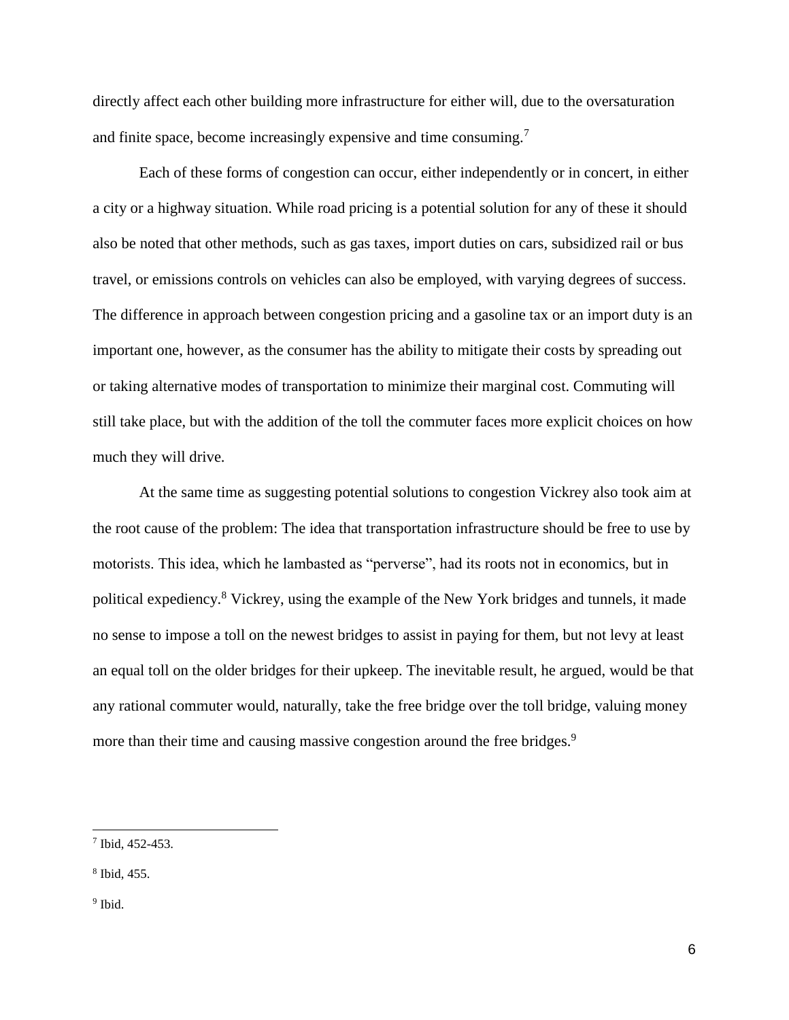directly affect each other building more infrastructure for either will, due to the oversaturation and finite space, become increasingly expensive and time consuming.<sup>7</sup>

Each of these forms of congestion can occur, either independently or in concert, in either a city or a highway situation. While road pricing is a potential solution for any of these it should also be noted that other methods, such as gas taxes, import duties on cars, subsidized rail or bus travel, or emissions controls on vehicles can also be employed, with varying degrees of success. The difference in approach between congestion pricing and a gasoline tax or an import duty is an important one, however, as the consumer has the ability to mitigate their costs by spreading out or taking alternative modes of transportation to minimize their marginal cost. Commuting will still take place, but with the addition of the toll the commuter faces more explicit choices on how much they will drive.

At the same time as suggesting potential solutions to congestion Vickrey also took aim at the root cause of the problem: The idea that transportation infrastructure should be free to use by motorists. This idea, which he lambasted as "perverse", had its roots not in economics, but in political expediency.<sup>8</sup> Vickrey, using the example of the New York bridges and tunnels, it made no sense to impose a toll on the newest bridges to assist in paying for them, but not levy at least an equal toll on the older bridges for their upkeep. The inevitable result, he argued, would be that any rational commuter would, naturally, take the free bridge over the toll bridge, valuing money more than their time and causing massive congestion around the free bridges.<sup>9</sup>

8 Ibid, 455.

<sup>9</sup> Ibid.

 $\overline{a}$ 

<sup>7</sup> Ibid, 452-453.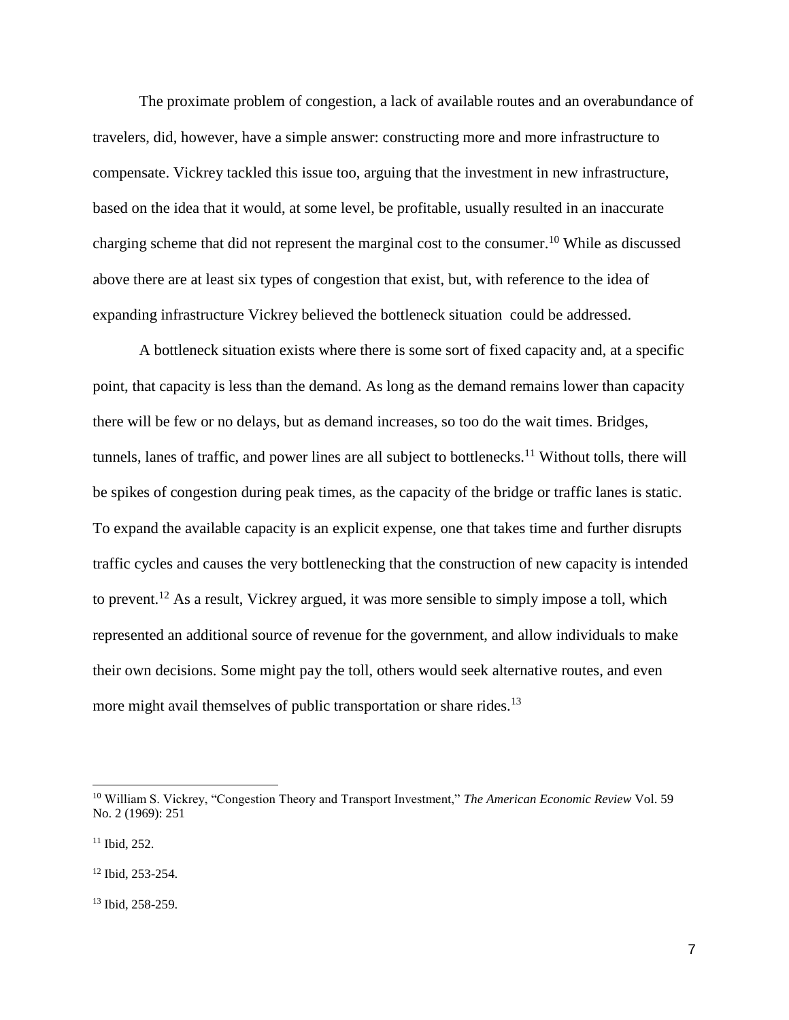The proximate problem of congestion, a lack of available routes and an overabundance of travelers, did, however, have a simple answer: constructing more and more infrastructure to compensate. Vickrey tackled this issue too, arguing that the investment in new infrastructure, based on the idea that it would, at some level, be profitable, usually resulted in an inaccurate charging scheme that did not represent the marginal cost to the consumer.<sup>10</sup> While as discussed above there are at least six types of congestion that exist, but, with reference to the idea of expanding infrastructure Vickrey believed the bottleneck situation could be addressed.

A bottleneck situation exists where there is some sort of fixed capacity and, at a specific point, that capacity is less than the demand. As long as the demand remains lower than capacity there will be few or no delays, but as demand increases, so too do the wait times. Bridges, tunnels, lanes of traffic, and power lines are all subject to bottlenecks.<sup>11</sup> Without tolls, there will be spikes of congestion during peak times, as the capacity of the bridge or traffic lanes is static. To expand the available capacity is an explicit expense, one that takes time and further disrupts traffic cycles and causes the very bottlenecking that the construction of new capacity is intended to prevent.<sup>12</sup> As a result, Vickrey argued, it was more sensible to simply impose a toll, which represented an additional source of revenue for the government, and allow individuals to make their own decisions. Some might pay the toll, others would seek alternative routes, and even more might avail themselves of public transportation or share rides.<sup>13</sup>

<sup>10</sup> William S. Vickrey, "Congestion Theory and Transport Investment," *The American Economic Review* Vol. 59 No. 2 (1969): 251

 $11$  Ibid, 252.

<sup>12</sup> Ibid, 253-254.

<sup>13</sup> Ibid, 258-259.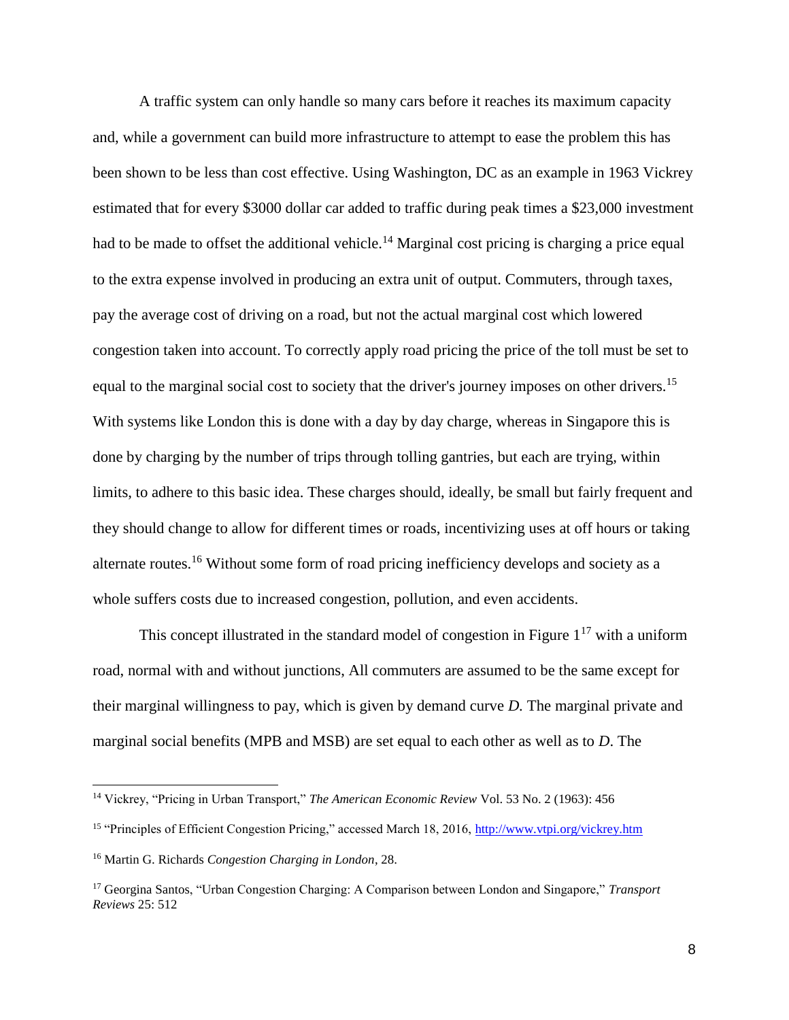A traffic system can only handle so many cars before it reaches its maximum capacity and, while a government can build more infrastructure to attempt to ease the problem this has been shown to be less than cost effective. Using Washington, DC as an example in 1963 Vickrey estimated that for every \$3000 dollar car added to traffic during peak times a \$23,000 investment had to be made to offset the additional vehicle.<sup>14</sup> Marginal cost pricing is charging a price equal to the extra expense involved in producing an extra unit of output. Commuters, through taxes, pay the average cost of driving on a road, but not the actual marginal cost which lowered congestion taken into account. To correctly apply road pricing the price of the toll must be set to equal to the marginal social cost to society that the driver's journey imposes on other drivers.<sup>15</sup> With systems like London this is done with a day by day charge, whereas in Singapore this is done by charging by the number of trips through tolling gantries, but each are trying, within limits, to adhere to this basic idea. These charges should, ideally, be small but fairly frequent and they should change to allow for different times or roads, incentivizing uses at off hours or taking alternate routes.<sup>16</sup> Without some form of road pricing inefficiency develops and society as a whole suffers costs due to increased congestion, pollution, and even accidents.

This concept illustrated in the standard model of congestion in Figure  $1^{17}$  with a uniform road, normal with and without junctions, All commuters are assumed to be the same except for their marginal willingness to pay, which is given by demand curve *D.* The marginal private and marginal social benefits (MPB and MSB) are set equal to each other as well as to *D*. The

<sup>14</sup> Vickrey, "Pricing in Urban Transport," *The American Economic Review* Vol. 53 No. 2 (1963): 456

<sup>15</sup> "Principles of Efficient Congestion Pricing," accessed March 18, 2016,<http://www.vtpi.org/vickrey.htm>

<sup>16</sup> Martin G. Richards *Congestion Charging in London*, 28.

<sup>17</sup> Georgina Santos, "Urban Congestion Charging: A Comparison between London and Singapore," *Transport Reviews* 25: 512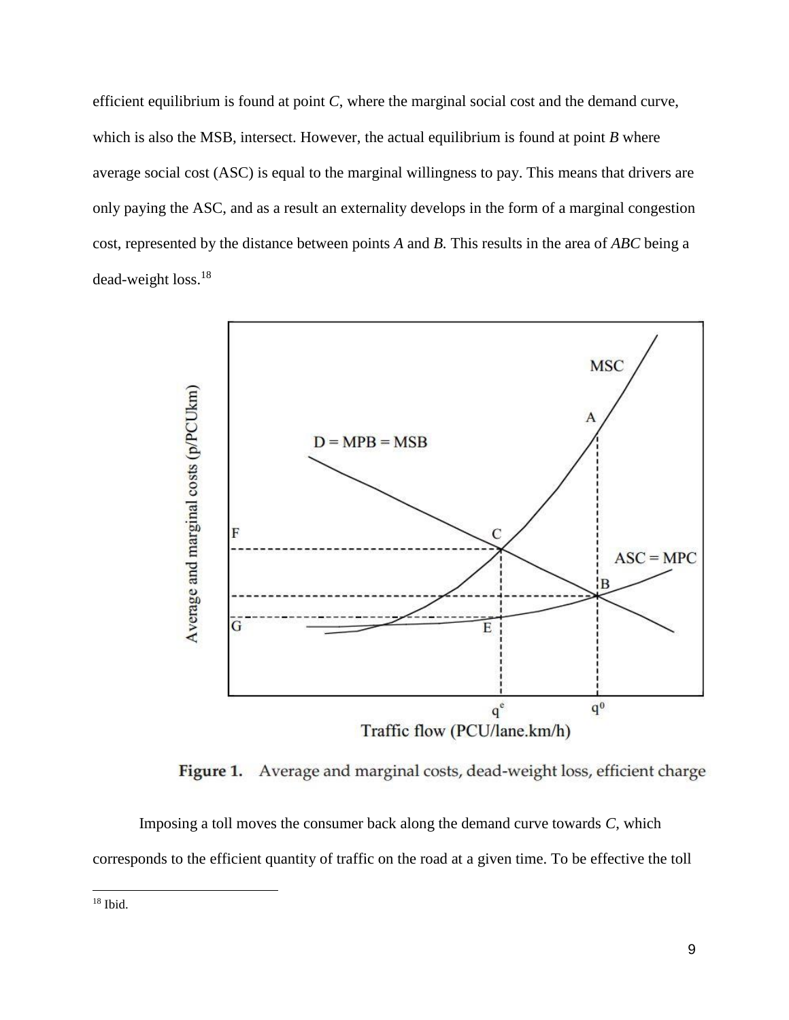efficient equilibrium is found at point *C*, where the marginal social cost and the demand curve, which is also the MSB, intersect. However, the actual equilibrium is found at point *B* where average social cost (ASC) is equal to the marginal willingness to pay. This means that drivers are only paying the ASC, and as a result an externality develops in the form of a marginal congestion cost, represented by the distance between points *A* and *B.* This results in the area of *ABC* being a dead-weight loss.<sup>18</sup>



Figure 1. Average and marginal costs, dead-weight loss, efficient charge

Imposing a toll moves the consumer back along the demand curve towards *C*, which corresponds to the efficient quantity of traffic on the road at a given time. To be effective the toll

<sup>18</sup> Ibid.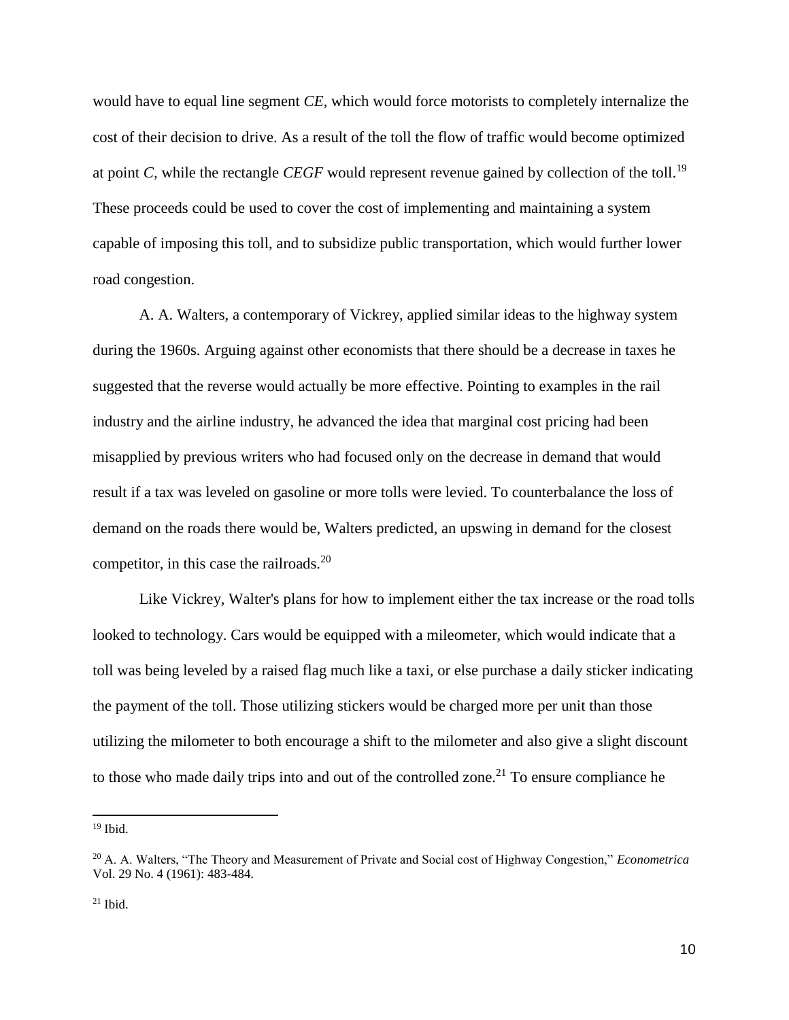would have to equal line segment *CE*, which would force motorists to completely internalize the cost of their decision to drive. As a result of the toll the flow of traffic would become optimized at point *C,* while the rectangle *CEGF* would represent revenue gained by collection of the toll.<sup>19</sup> These proceeds could be used to cover the cost of implementing and maintaining a system capable of imposing this toll, and to subsidize public transportation, which would further lower road congestion.

A. A. Walters, a contemporary of Vickrey, applied similar ideas to the highway system during the 1960s. Arguing against other economists that there should be a decrease in taxes he suggested that the reverse would actually be more effective. Pointing to examples in the rail industry and the airline industry, he advanced the idea that marginal cost pricing had been misapplied by previous writers who had focused only on the decrease in demand that would result if a tax was leveled on gasoline or more tolls were levied. To counterbalance the loss of demand on the roads there would be, Walters predicted, an upswing in demand for the closest competitor, in this case the railroads.<sup>20</sup>

Like Vickrey, Walter's plans for how to implement either the tax increase or the road tolls looked to technology. Cars would be equipped with a mileometer, which would indicate that a toll was being leveled by a raised flag much like a taxi, or else purchase a daily sticker indicating the payment of the toll. Those utilizing stickers would be charged more per unit than those utilizing the milometer to both encourage a shift to the milometer and also give a slight discount to those who made daily trips into and out of the controlled zone.<sup>21</sup> To ensure compliance he

 $19$  Ibid.

<sup>20</sup> A. A. Walters, "The Theory and Measurement of Private and Social cost of Highway Congestion," *Econometrica* Vol. 29 No. 4 (1961): 483-484.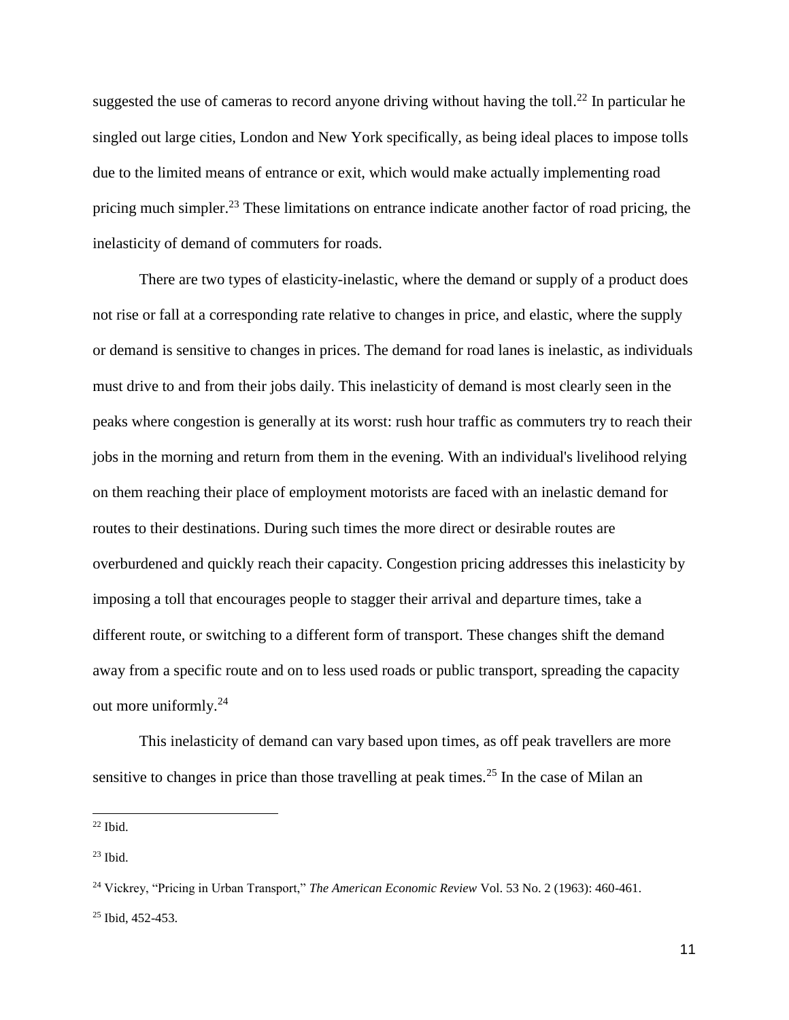suggested the use of cameras to record anyone driving without having the toll.<sup>22</sup> In particular he singled out large cities, London and New York specifically, as being ideal places to impose tolls due to the limited means of entrance or exit, which would make actually implementing road pricing much simpler.<sup>23</sup> These limitations on entrance indicate another factor of road pricing, the inelasticity of demand of commuters for roads.

There are two types of elasticity-inelastic, where the demand or supply of a product does not rise or fall at a corresponding rate relative to changes in price, and elastic, where the supply or demand is sensitive to changes in prices. The demand for road lanes is inelastic, as individuals must drive to and from their jobs daily. This inelasticity of demand is most clearly seen in the peaks where congestion is generally at its worst: rush hour traffic as commuters try to reach their jobs in the morning and return from them in the evening. With an individual's livelihood relying on them reaching their place of employment motorists are faced with an inelastic demand for routes to their destinations. During such times the more direct or desirable routes are overburdened and quickly reach their capacity. Congestion pricing addresses this inelasticity by imposing a toll that encourages people to stagger their arrival and departure times, take a different route, or switching to a different form of transport. These changes shift the demand away from a specific route and on to less used roads or public transport, spreading the capacity out more uniformly.<sup>24</sup>

This inelasticity of demand can vary based upon times, as off peak travellers are more sensitive to changes in price than those travelling at peak times.<sup>25</sup> In the case of Milan an

 $22$  Ibid.

 $\overline{a}$ 

 $23$  Ibid.

<sup>24</sup> Vickrey, "Pricing in Urban Transport," *The American Economic Review* Vol. 53 No. 2 (1963): 460-461. <sup>25</sup> Ibid, 452-453.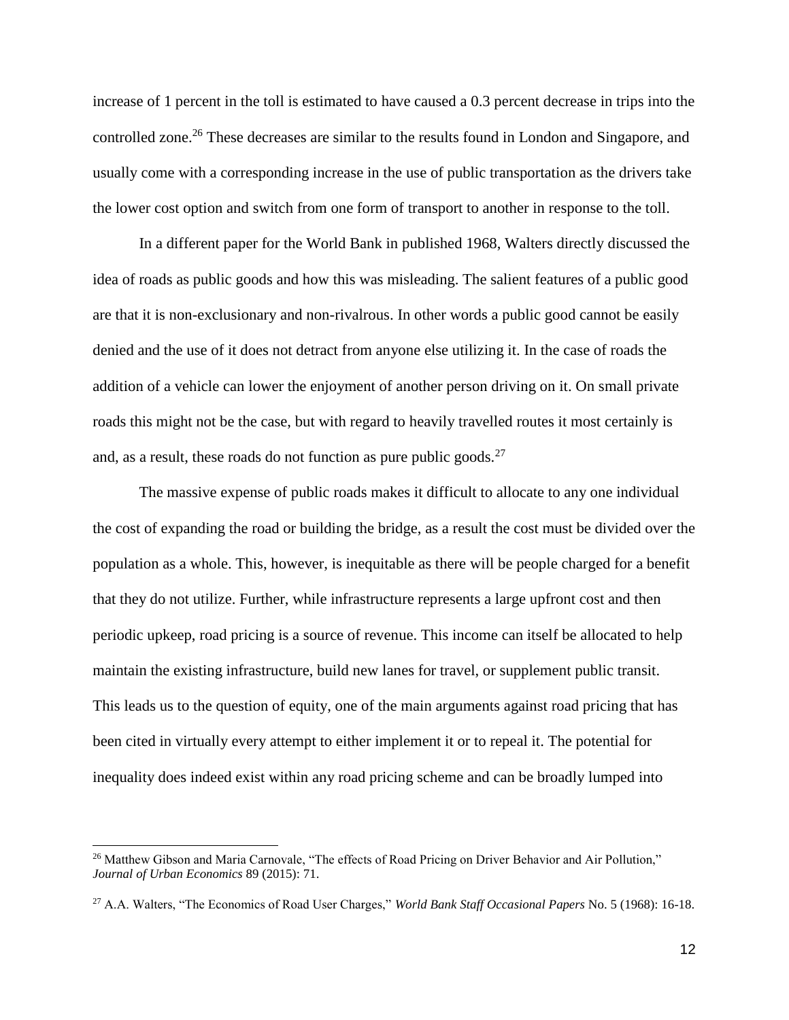increase of 1 percent in the toll is estimated to have caused a 0.3 percent decrease in trips into the controlled zone.<sup>26</sup> These decreases are similar to the results found in London and Singapore, and usually come with a corresponding increase in the use of public transportation as the drivers take the lower cost option and switch from one form of transport to another in response to the toll.

In a different paper for the World Bank in published 1968, Walters directly discussed the idea of roads as public goods and how this was misleading. The salient features of a public good are that it is non-exclusionary and non-rivalrous. In other words a public good cannot be easily denied and the use of it does not detract from anyone else utilizing it. In the case of roads the addition of a vehicle can lower the enjoyment of another person driving on it. On small private roads this might not be the case, but with regard to heavily travelled routes it most certainly is and, as a result, these roads do not function as pure public goods. $27$ 

The massive expense of public roads makes it difficult to allocate to any one individual the cost of expanding the road or building the bridge, as a result the cost must be divided over the population as a whole. This, however, is inequitable as there will be people charged for a benefit that they do not utilize. Further, while infrastructure represents a large upfront cost and then periodic upkeep, road pricing is a source of revenue. This income can itself be allocated to help maintain the existing infrastructure, build new lanes for travel, or supplement public transit. This leads us to the question of equity, one of the main arguments against road pricing that has been cited in virtually every attempt to either implement it or to repeal it. The potential for inequality does indeed exist within any road pricing scheme and can be broadly lumped into

 $\overline{a}$ 

<sup>&</sup>lt;sup>26</sup> Matthew Gibson and Maria Carnovale, "The effects of Road Pricing on Driver Behavior and Air Pollution," *Journal of Urban Economics* 89 (2015): 71.

<sup>27</sup> A.A. Walters, "The Economics of Road User Charges," *World Bank Staff Occasional Papers* No. 5 (1968): 16-18.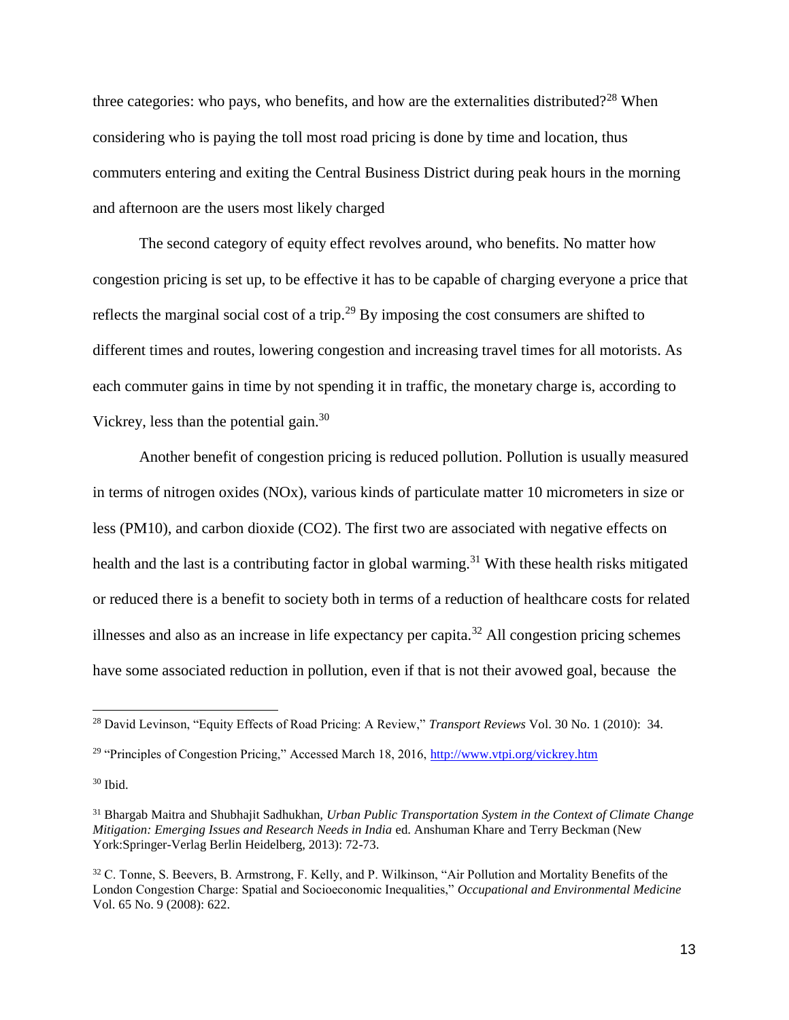three categories: who pays, who benefits, and how are the externalities distributed?<sup>28</sup> When considering who is paying the toll most road pricing is done by time and location, thus commuters entering and exiting the Central Business District during peak hours in the morning and afternoon are the users most likely charged

The second category of equity effect revolves around, who benefits. No matter how congestion pricing is set up, to be effective it has to be capable of charging everyone a price that reflects the marginal social cost of a trip.<sup>29</sup> By imposing the cost consumers are shifted to different times and routes, lowering congestion and increasing travel times for all motorists. As each commuter gains in time by not spending it in traffic, the monetary charge is, according to Vickrey, less than the potential gain.<sup>30</sup>

Another benefit of congestion pricing is reduced pollution. Pollution is usually measured in terms of nitrogen oxides (NOx), various kinds of particulate matter 10 micrometers in size or less (PM10), and carbon dioxide (CO2). The first two are associated with negative effects on health and the last is a contributing factor in global warming.<sup>31</sup> With these health risks mitigated or reduced there is a benefit to society both in terms of a reduction of healthcare costs for related illnesses and also as an increase in life expectancy per capita.<sup>32</sup> All congestion pricing schemes have some associated reduction in pollution, even if that is not their avowed goal, because the

 $\overline{a}$ 

<sup>28</sup> David Levinson, "Equity Effects of Road Pricing: A Review," *Transport Reviews* Vol. 30 No. 1 (2010): 34.

<sup>&</sup>lt;sup>29</sup> "Principles of Congestion Pricing," Accessed March 18, 2016,<http://www.vtpi.org/vickrey.htm>

 $30$  Ibid.

<sup>31</sup> Bhargab Maitra and Shubhajit Sadhukhan, *Urban Public Transportation System in the Context of Climate Change Mitigation: Emerging Issues and Research Needs in India* ed. Anshuman Khare and Terry Beckman (New York:Springer-Verlag Berlin Heidelberg, 2013): 72-73.

<sup>32</sup> C. Tonne, S. Beevers, B. Armstrong, F. Kelly, and P. Wilkinson, "Air Pollution and Mortality Benefits of the London Congestion Charge: Spatial and Socioeconomic Inequalities," *Occupational and Environmental Medicine* Vol. 65 No. 9 (2008): 622.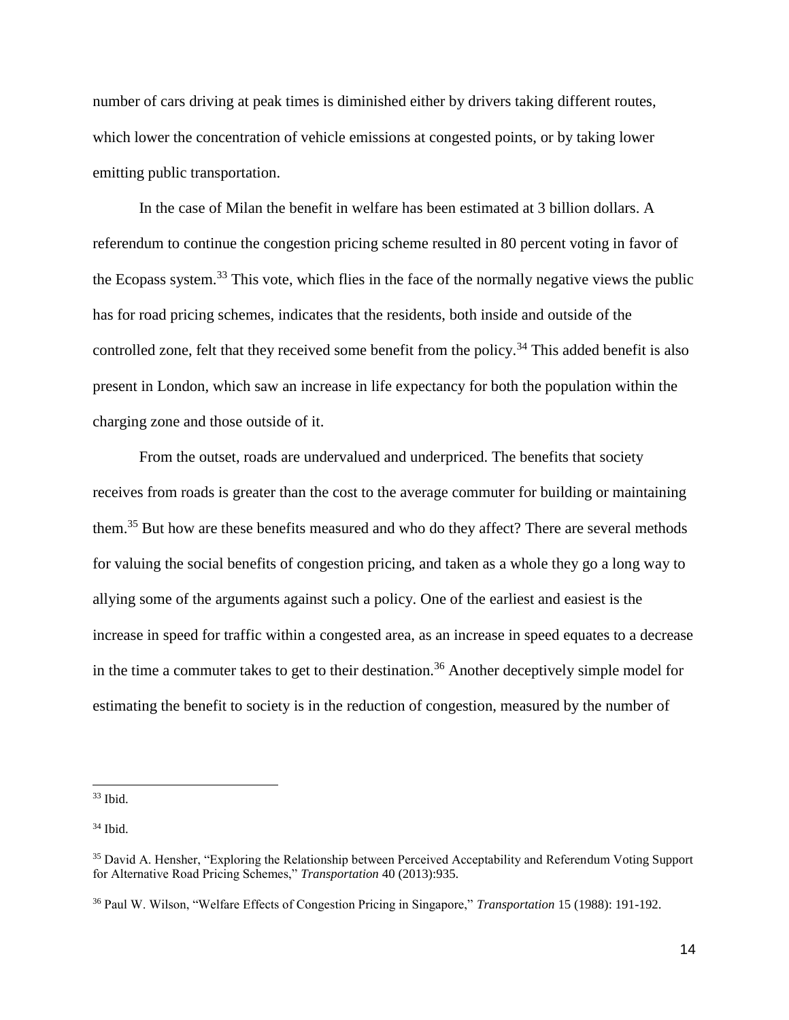number of cars driving at peak times is diminished either by drivers taking different routes, which lower the concentration of vehicle emissions at congested points, or by taking lower emitting public transportation.

In the case of Milan the benefit in welfare has been estimated at 3 billion dollars. A referendum to continue the congestion pricing scheme resulted in 80 percent voting in favor of the Ecopass system.<sup>33</sup> This vote, which flies in the face of the normally negative views the public has for road pricing schemes, indicates that the residents, both inside and outside of the controlled zone, felt that they received some benefit from the policy.<sup>34</sup> This added benefit is also present in London, which saw an increase in life expectancy for both the population within the charging zone and those outside of it.

From the outset, roads are undervalued and underpriced. The benefits that society receives from roads is greater than the cost to the average commuter for building or maintaining them.<sup>35</sup> But how are these benefits measured and who do they affect? There are several methods for valuing the social benefits of congestion pricing, and taken as a whole they go a long way to allying some of the arguments against such a policy. One of the earliest and easiest is the increase in speed for traffic within a congested area, as an increase in speed equates to a decrease in the time a commuter takes to get to their destination.<sup>36</sup> Another deceptively simple model for estimating the benefit to society is in the reduction of congestion, measured by the number of

<sup>33</sup> Ibid.

 $34$  Ibid.

<sup>35</sup> David A. Hensher, "Exploring the Relationship between Perceived Acceptability and Referendum Voting Support for Alternative Road Pricing Schemes," *Transportation* 40 (2013):935.

<sup>36</sup> Paul W. Wilson, "Welfare Effects of Congestion Pricing in Singapore," *Transportation* 15 (1988): 191-192.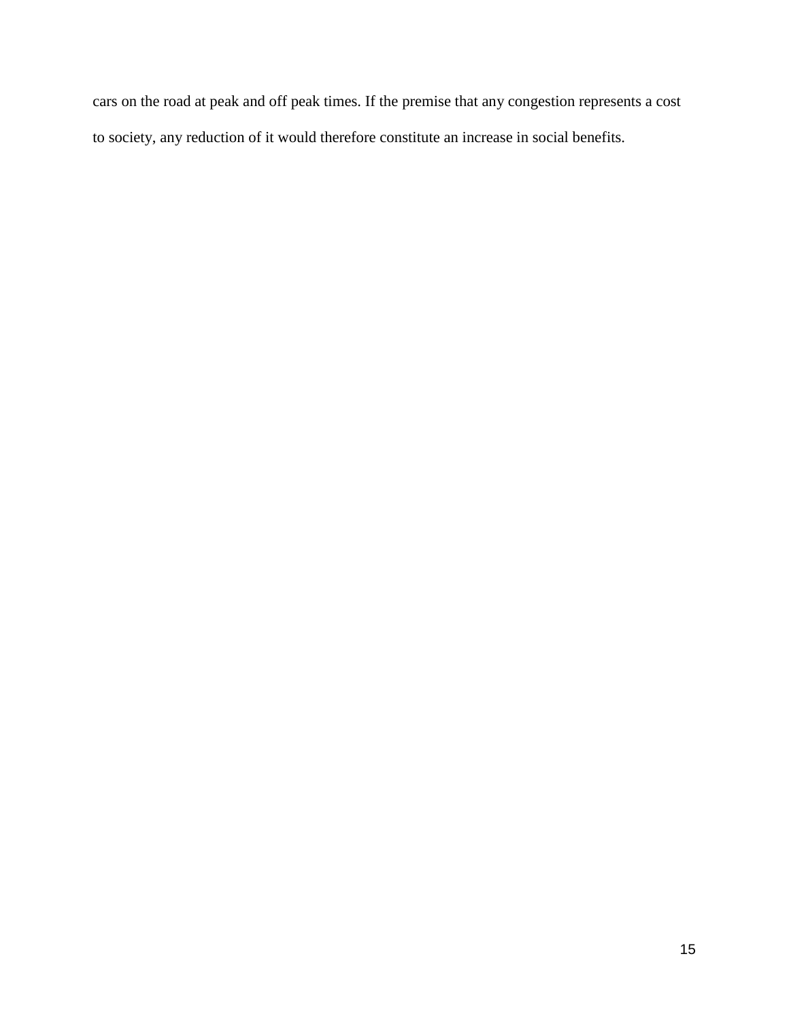cars on the road at peak and off peak times. If the premise that any congestion represents a cost to society, any reduction of it would therefore constitute an increase in social benefits.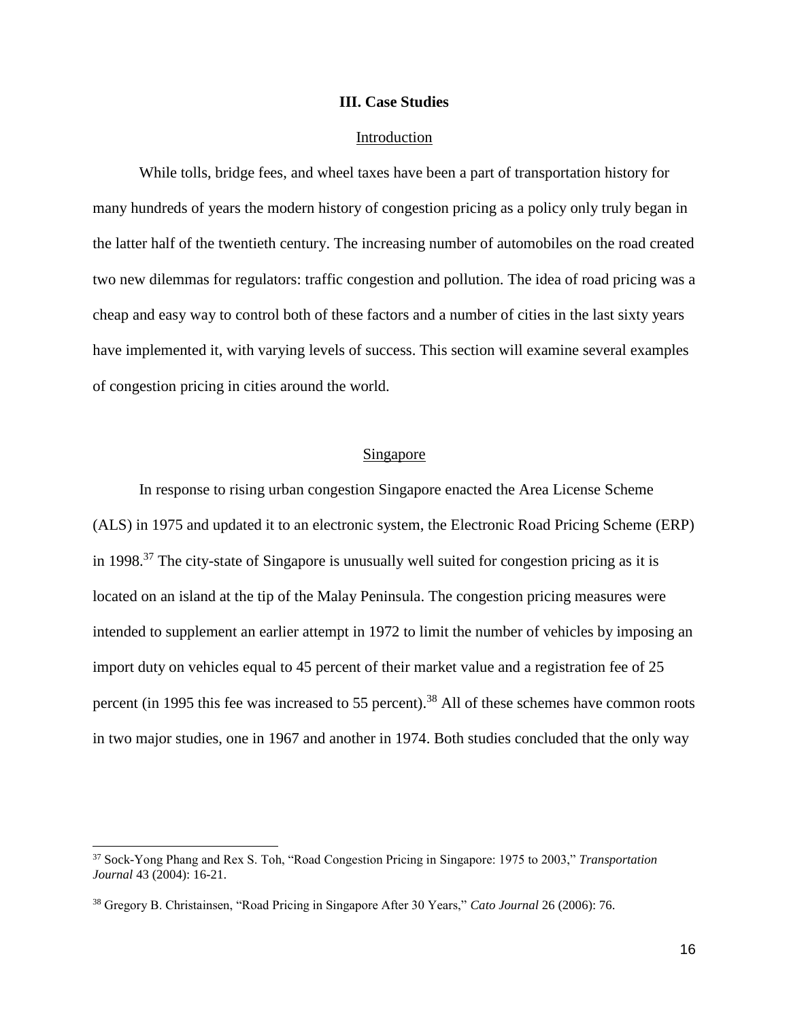#### **III. Case Studies**

#### Introduction

While tolls, bridge fees, and wheel taxes have been a part of transportation history for many hundreds of years the modern history of congestion pricing as a policy only truly began in the latter half of the twentieth century. The increasing number of automobiles on the road created two new dilemmas for regulators: traffic congestion and pollution. The idea of road pricing was a cheap and easy way to control both of these factors and a number of cities in the last sixty years have implemented it, with varying levels of success. This section will examine several examples of congestion pricing in cities around the world.

### Singapore

In response to rising urban congestion Singapore enacted the Area License Scheme (ALS) in 1975 and updated it to an electronic system, the Electronic Road Pricing Scheme (ERP) in 1998.<sup>37</sup> The city-state of Singapore is unusually well suited for congestion pricing as it is located on an island at the tip of the Malay Peninsula. The congestion pricing measures were intended to supplement an earlier attempt in 1972 to limit the number of vehicles by imposing an import duty on vehicles equal to 45 percent of their market value and a registration fee of 25 percent (in 1995 this fee was increased to 55 percent).<sup>38</sup> All of these schemes have common roots in two major studies, one in 1967 and another in 1974. Both studies concluded that the only way

 $\overline{a}$ 

<sup>37</sup> Sock-Yong Phang and Rex S. Toh, "Road Congestion Pricing in Singapore: 1975 to 2003," *Transportation Journal* 43 (2004): 16-21.

<sup>38</sup> Gregory B. Christainsen, "Road Pricing in Singapore After 30 Years," *Cato Journal* 26 (2006): 76.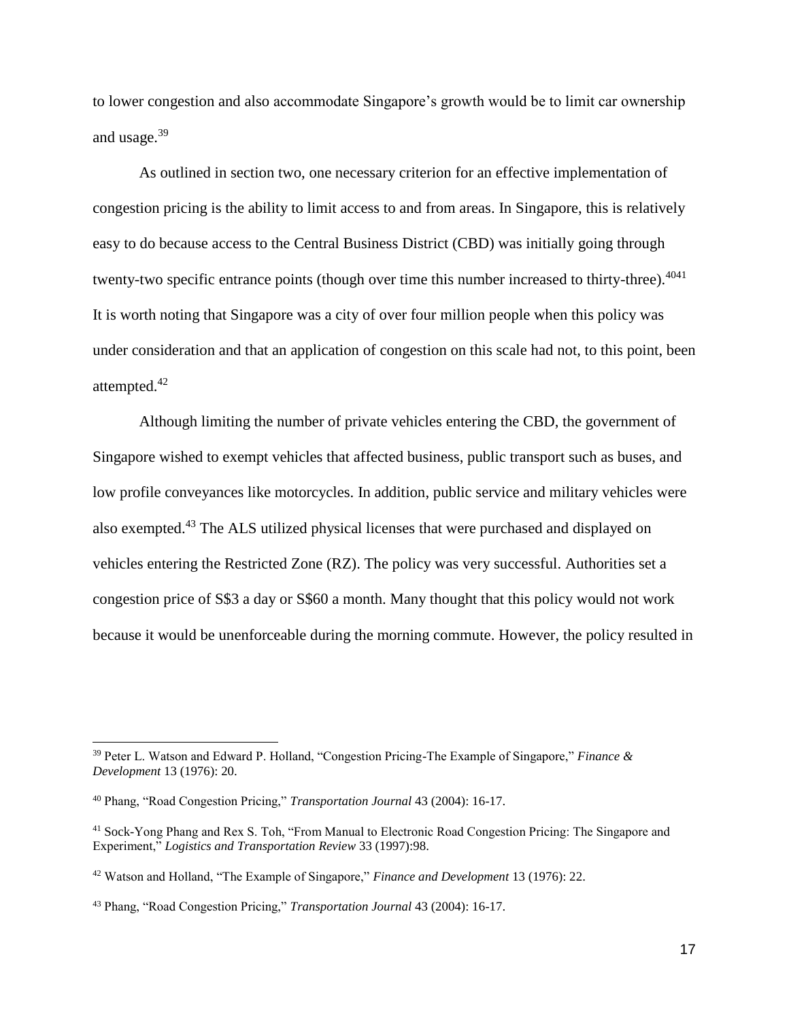to lower congestion and also accommodate Singapore's growth would be to limit car ownership and usage.<sup>39</sup>

As outlined in section two, one necessary criterion for an effective implementation of congestion pricing is the ability to limit access to and from areas. In Singapore, this is relatively easy to do because access to the Central Business District (CBD) was initially going through twenty-two specific entrance points (though over time this number increased to thirty-three).<sup>4041</sup> It is worth noting that Singapore was a city of over four million people when this policy was under consideration and that an application of congestion on this scale had not, to this point, been attempted.<sup>42</sup>

Although limiting the number of private vehicles entering the CBD, the government of Singapore wished to exempt vehicles that affected business, public transport such as buses, and low profile conveyances like motorcycles. In addition, public service and military vehicles were also exempted.<sup>43</sup> The ALS utilized physical licenses that were purchased and displayed on vehicles entering the Restricted Zone (RZ). The policy was very successful. Authorities set a congestion price of S\$3 a day or S\$60 a month. Many thought that this policy would not work because it would be unenforceable during the morning commute. However, the policy resulted in

<sup>39</sup> Peter L. Watson and Edward P. Holland, "Congestion Pricing-The Example of Singapore," *Finance & Development* 13 (1976): 20.

<sup>40</sup> Phang, "Road Congestion Pricing," *Transportation Journal* 43 (2004): 16-17.

<sup>41</sup> Sock-Yong Phang and Rex S. Toh, "From Manual to Electronic Road Congestion Pricing: The Singapore and Experiment," *Logistics and Transportation Review* 33 (1997):98.

<sup>42</sup> Watson and Holland, "The Example of Singapore," *Finance and Development* 13 (1976): 22.

<sup>43</sup> Phang, "Road Congestion Pricing," *Transportation Journal* 43 (2004): 16-17.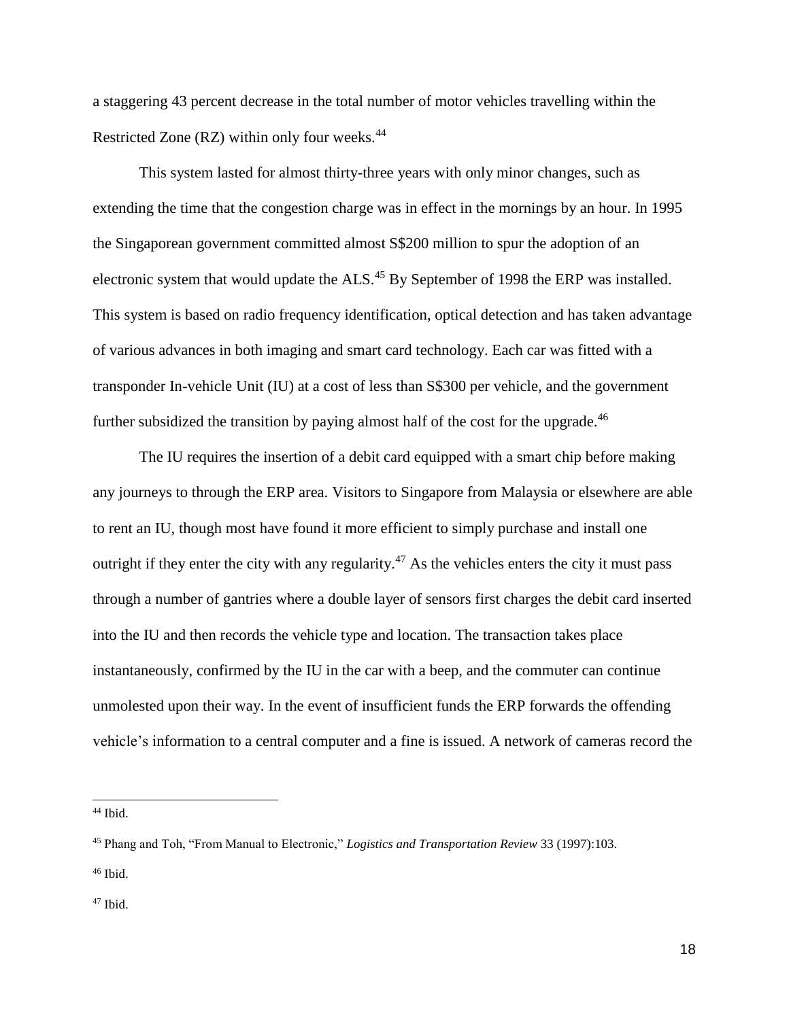a staggering 43 percent decrease in the total number of motor vehicles travelling within the Restricted Zone (RZ) within only four weeks.<sup>44</sup>

This system lasted for almost thirty-three years with only minor changes, such as extending the time that the congestion charge was in effect in the mornings by an hour. In 1995 the Singaporean government committed almost S\$200 million to spur the adoption of an electronic system that would update the ALS.<sup>45</sup> By September of 1998 the ERP was installed. This system is based on radio frequency identification, optical detection and has taken advantage of various advances in both imaging and smart card technology. Each car was fitted with a transponder In-vehicle Unit (IU) at a cost of less than S\$300 per vehicle, and the government further subsidized the transition by paying almost half of the cost for the upgrade.<sup>46</sup>

The IU requires the insertion of a debit card equipped with a smart chip before making any journeys to through the ERP area. Visitors to Singapore from Malaysia or elsewhere are able to rent an IU, though most have found it more efficient to simply purchase and install one outright if they enter the city with any regularity.<sup>47</sup> As the vehicles enters the city it must pass through a number of gantries where a double layer of sensors first charges the debit card inserted into the IU and then records the vehicle type and location. The transaction takes place instantaneously, confirmed by the IU in the car with a beep, and the commuter can continue unmolested upon their way. In the event of insufficient funds the ERP forwards the offending vehicle's information to a central computer and a fine is issued. A network of cameras record the

<sup>44</sup> Ibid.

<sup>45</sup> Phang and Toh, "From Manual to Electronic," *Logistics and Transportation Review* 33 (1997):103.

<sup>46</sup> Ibid.

<sup>47</sup> Ibid.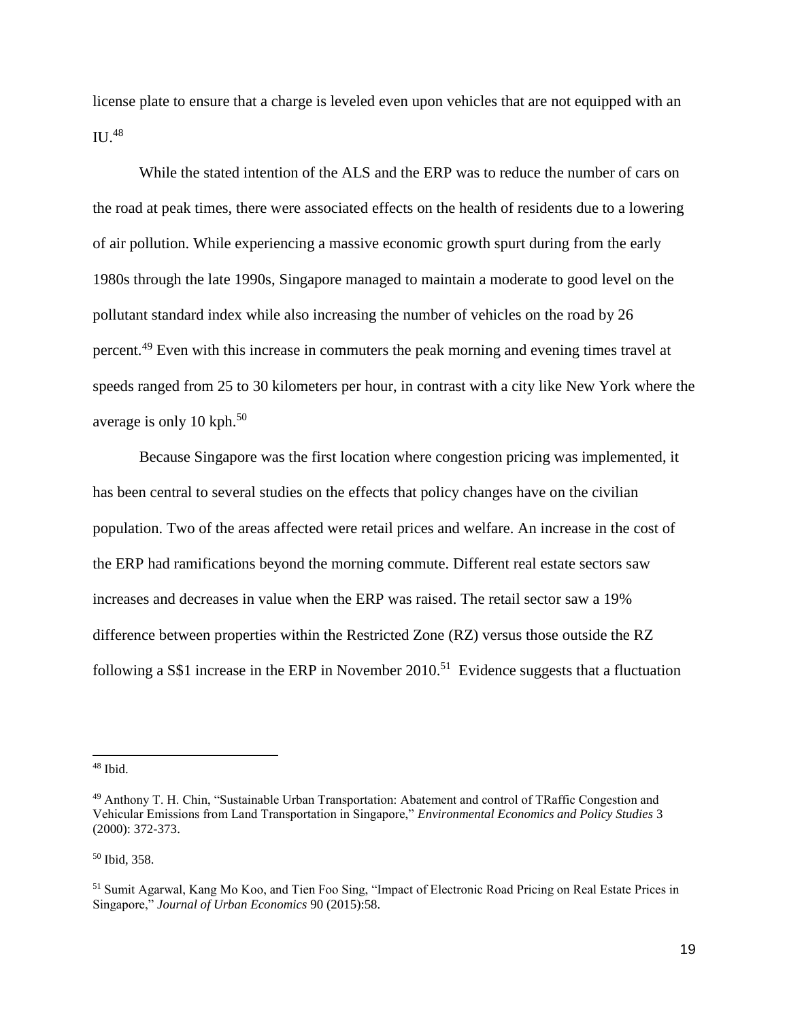license plate to ensure that a charge is leveled even upon vehicles that are not equipped with an  $\mathrm{II}$ <sup>48</sup>

While the stated intention of the ALS and the ERP was to reduce the number of cars on the road at peak times, there were associated effects on the health of residents due to a lowering of air pollution. While experiencing a massive economic growth spurt during from the early 1980s through the late 1990s, Singapore managed to maintain a moderate to good level on the pollutant standard index while also increasing the number of vehicles on the road by 26 percent.<sup>49</sup> Even with this increase in commuters the peak morning and evening times travel at speeds ranged from 25 to 30 kilometers per hour, in contrast with a city like New York where the average is only 10 kph. $50$ 

Because Singapore was the first location where congestion pricing was implemented, it has been central to several studies on the effects that policy changes have on the civilian population. Two of the areas affected were retail prices and welfare. An increase in the cost of the ERP had ramifications beyond the morning commute. Different real estate sectors saw increases and decreases in value when the ERP was raised. The retail sector saw a 19% difference between properties within the Restricted Zone (RZ) versus those outside the RZ following a S\$1 increase in the ERP in November  $2010$ <sup>51</sup> Evidence suggests that a fluctuation

<sup>50</sup> Ibid, 358.

 $48$  Ibid.

<sup>49</sup> Anthony T. H. Chin, "Sustainable Urban Transportation: Abatement and control of TRaffic Congestion and Vehicular Emissions from Land Transportation in Singapore," *Environmental Economics and Policy Studies* 3 (2000): 372-373.

<sup>51</sup> Sumit Agarwal, Kang Mo Koo, and Tien Foo Sing, "Impact of Electronic Road Pricing on Real Estate Prices in Singapore," *Journal of Urban Economics* 90 (2015):58.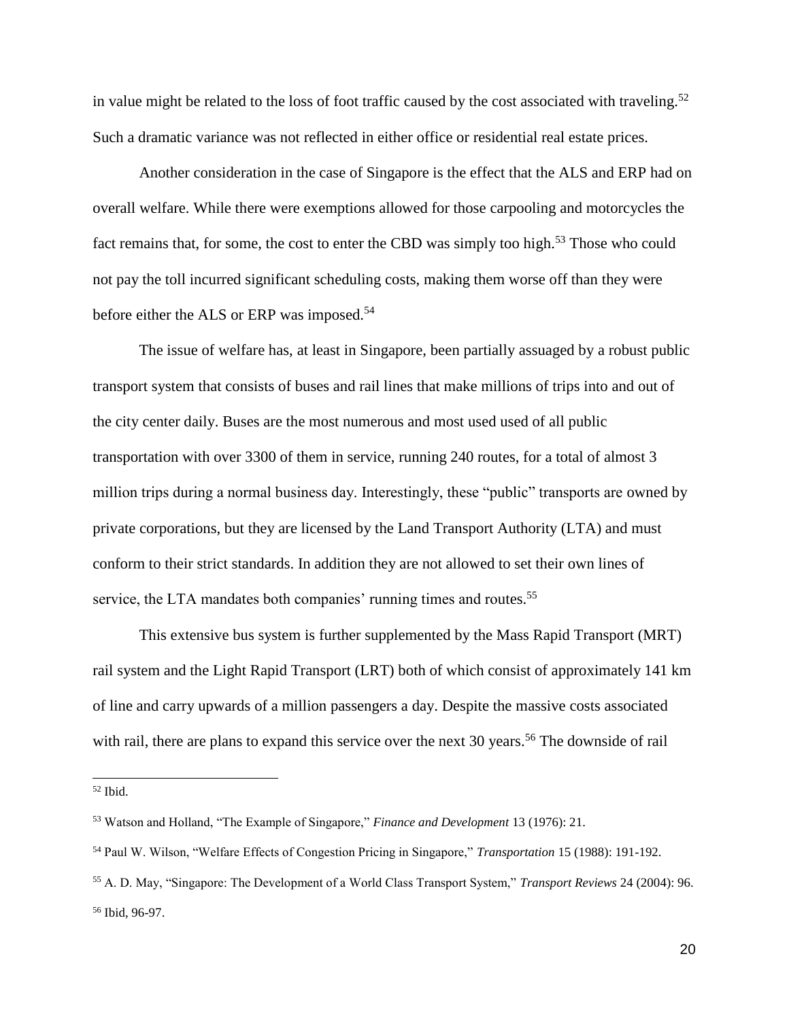in value might be related to the loss of foot traffic caused by the cost associated with traveling.<sup>52</sup> Such a dramatic variance was not reflected in either office or residential real estate prices.

Another consideration in the case of Singapore is the effect that the ALS and ERP had on overall welfare. While there were exemptions allowed for those carpooling and motorcycles the fact remains that, for some, the cost to enter the CBD was simply too high.<sup>53</sup> Those who could not pay the toll incurred significant scheduling costs, making them worse off than they were before either the ALS or ERP was imposed.<sup>54</sup>

The issue of welfare has, at least in Singapore, been partially assuaged by a robust public transport system that consists of buses and rail lines that make millions of trips into and out of the city center daily. Buses are the most numerous and most used used of all public transportation with over 3300 of them in service, running 240 routes, for a total of almost 3 million trips during a normal business day. Interestingly, these "public" transports are owned by private corporations, but they are licensed by the Land Transport Authority (LTA) and must conform to their strict standards. In addition they are not allowed to set their own lines of service, the LTA mandates both companies' running times and routes.<sup>55</sup>

This extensive bus system is further supplemented by the Mass Rapid Transport (MRT) rail system and the Light Rapid Transport (LRT) both of which consist of approximately 141 km of line and carry upwards of a million passengers a day. Despite the massive costs associated with rail, there are plans to expand this service over the next 30 years.<sup>56</sup> The downside of rail

 $\overline{a}$ 

<sup>52</sup> Ibid.

<sup>53</sup> Watson and Holland, "The Example of Singapore," *Finance and Development* 13 (1976): 21.

<sup>54</sup> Paul W. Wilson, "Welfare Effects of Congestion Pricing in Singapore," *Transportation* 15 (1988): 191-192.

<sup>55</sup> A. D. May, "Singapore: The Development of a World Class Transport System," *Transport Reviews* 24 (2004): 96. <sup>56</sup> Ibid, 96-97.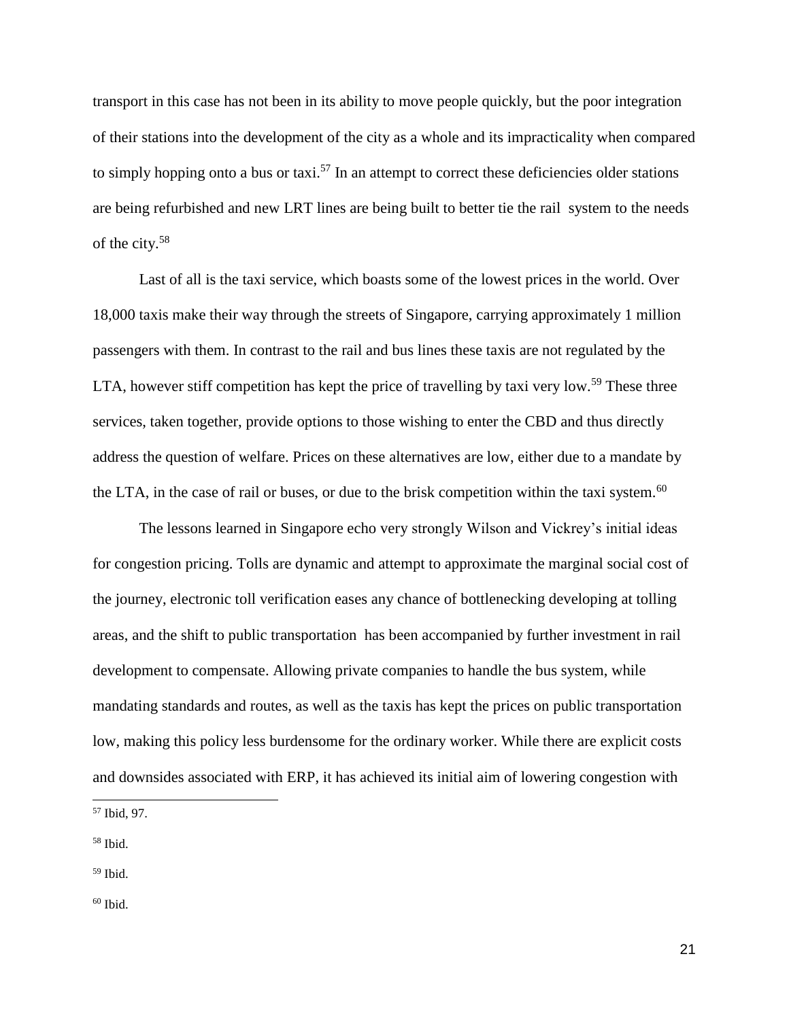transport in this case has not been in its ability to move people quickly, but the poor integration of their stations into the development of the city as a whole and its impracticality when compared to simply hopping onto a bus or taxi.<sup>57</sup> In an attempt to correct these deficiencies older stations are being refurbished and new LRT lines are being built to better tie the rail system to the needs of the city.<sup>58</sup>

Last of all is the taxi service, which boasts some of the lowest prices in the world. Over 18,000 taxis make their way through the streets of Singapore, carrying approximately 1 million passengers with them. In contrast to the rail and bus lines these taxis are not regulated by the LTA, however stiff competition has kept the price of travelling by taxi very low.<sup>59</sup> These three services, taken together, provide options to those wishing to enter the CBD and thus directly address the question of welfare. Prices on these alternatives are low, either due to a mandate by the LTA, in the case of rail or buses, or due to the brisk competition within the taxi system.<sup>60</sup>

The lessons learned in Singapore echo very strongly Wilson and Vickrey's initial ideas for congestion pricing. Tolls are dynamic and attempt to approximate the marginal social cost of the journey, electronic toll verification eases any chance of bottlenecking developing at tolling areas, and the shift to public transportation has been accompanied by further investment in rail development to compensate. Allowing private companies to handle the bus system, while mandating standards and routes, as well as the taxis has kept the prices on public transportation low, making this policy less burdensome for the ordinary worker. While there are explicit costs and downsides associated with ERP, it has achieved its initial aim of lowering congestion with

<sup>57</sup> Ibid, 97.

<sup>58</sup> Ibid.

<sup>59</sup> Ibid.

 $60$  Ibid.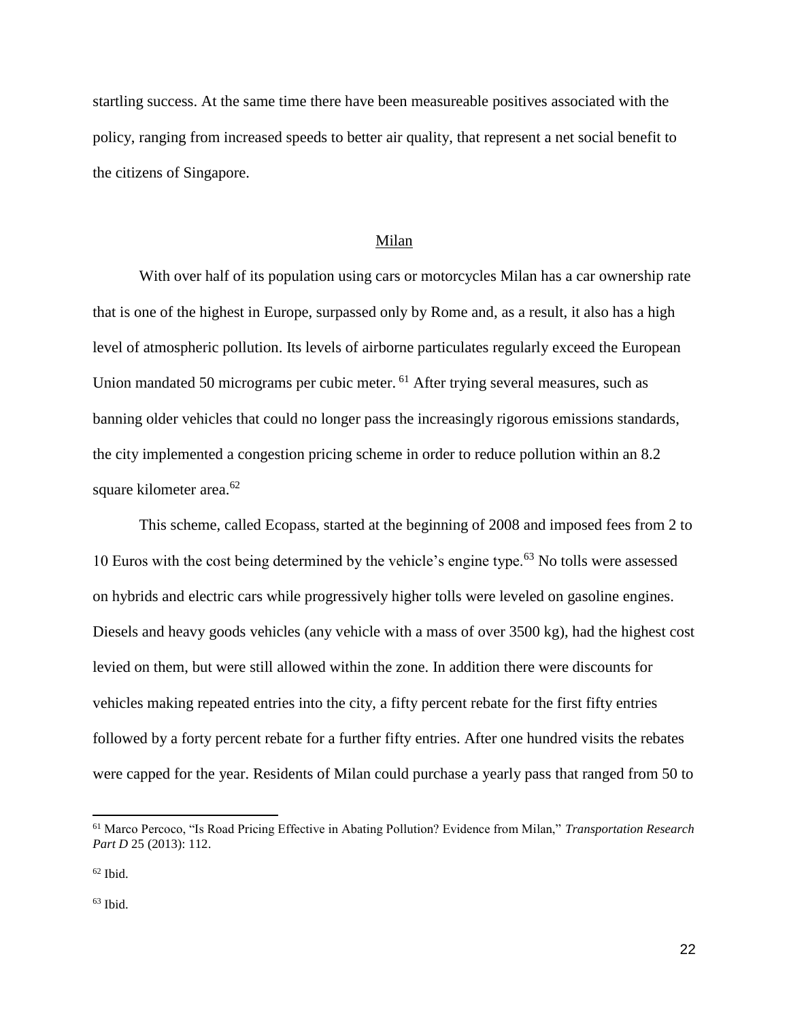startling success. At the same time there have been measureable positives associated with the policy, ranging from increased speeds to better air quality, that represent a net social benefit to the citizens of Singapore.

#### Milan

With over half of its population using cars or motorcycles Milan has a car ownership rate that is one of the highest in Europe, surpassed only by Rome and, as a result, it also has a high level of atmospheric pollution. Its levels of airborne particulates regularly exceed the European Union mandated 50 micrograms per cubic meter. <sup>61</sup> After trying several measures, such as banning older vehicles that could no longer pass the increasingly rigorous emissions standards, the city implemented a congestion pricing scheme in order to reduce pollution within an 8.2 square kilometer area.<sup>62</sup>

This scheme, called Ecopass, started at the beginning of 2008 and imposed fees from 2 to 10 Euros with the cost being determined by the vehicle's engine type.<sup>63</sup> No tolls were assessed on hybrids and electric cars while progressively higher tolls were leveled on gasoline engines. Diesels and heavy goods vehicles (any vehicle with a mass of over 3500 kg), had the highest cost levied on them, but were still allowed within the zone. In addition there were discounts for vehicles making repeated entries into the city, a fifty percent rebate for the first fifty entries followed by a forty percent rebate for a further fifty entries. After one hundred visits the rebates were capped for the year. Residents of Milan could purchase a yearly pass that ranged from 50 to

<sup>61</sup> Marco Percoco, "Is Road Pricing Effective in Abating Pollution? Evidence from Milan," *Transportation Research Part D* 25 (2013): 112.

 $62$  Ibid.

 $63$  Ibid.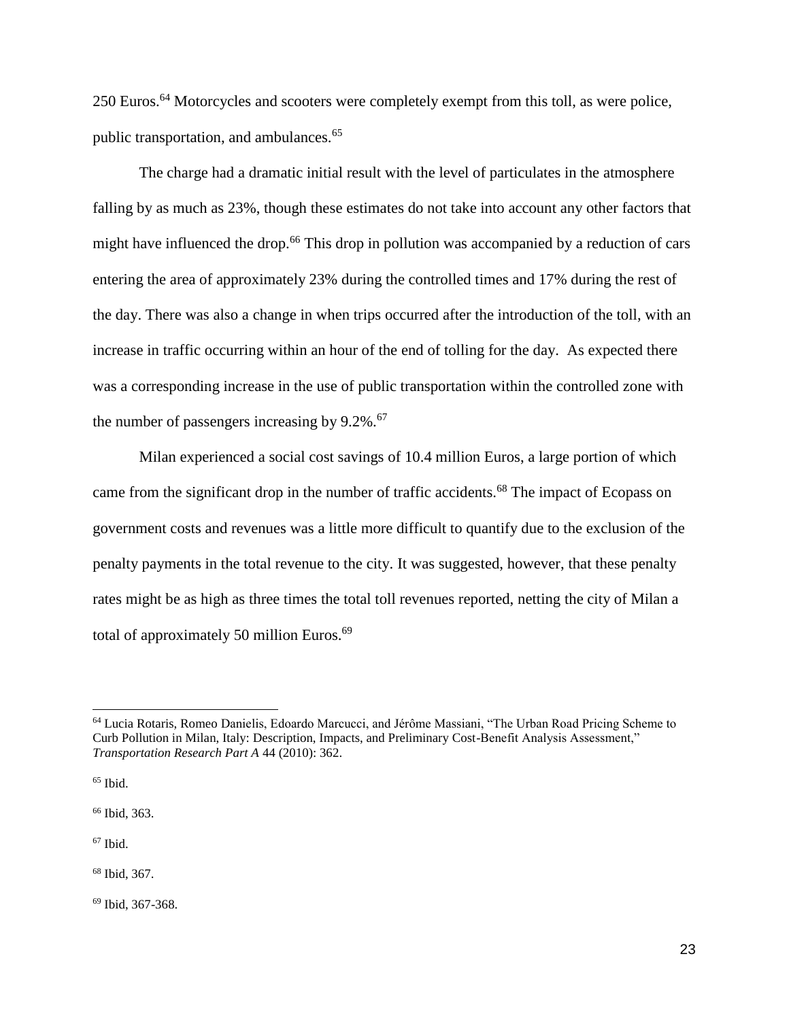250 Euros.<sup>64</sup> Motorcycles and scooters were completely exempt from this toll, as were police, public transportation, and ambulances.<sup>65</sup>

The charge had a dramatic initial result with the level of particulates in the atmosphere falling by as much as 23%, though these estimates do not take into account any other factors that might have influenced the drop.<sup>66</sup> This drop in pollution was accompanied by a reduction of cars entering the area of approximately 23% during the controlled times and 17% during the rest of the day. There was also a change in when trips occurred after the introduction of the toll, with an increase in traffic occurring within an hour of the end of tolling for the day. As expected there was a corresponding increase in the use of public transportation within the controlled zone with the number of passengers increasing by  $9.2\%$ .<sup>67</sup>

Milan experienced a social cost savings of 10.4 million Euros, a large portion of which came from the significant drop in the number of traffic accidents.<sup>68</sup> The impact of Ecopass on government costs and revenues was a little more difficult to quantify due to the exclusion of the penalty payments in the total revenue to the city. It was suggested, however, that these penalty rates might be as high as three times the total toll revenues reported, netting the city of Milan a total of approximately 50 million Euros. $69$ 

<sup>64</sup> Lucia Rotaris, Romeo Danielis, Edoardo Marcucci, and Jérôme Massiani, "The Urban Road Pricing Scheme to Curb Pollution in Milan, Italy: Description, Impacts, and Preliminary Cost-Benefit Analysis Assessment," *Transportation Research Part A* 44 (2010): 362.

 $65$  Ibid.

<sup>66</sup> Ibid, 363.

 $67$  Ibid.

<sup>68</sup> Ibid, 367.

<sup>69</sup> Ibid, 367-368.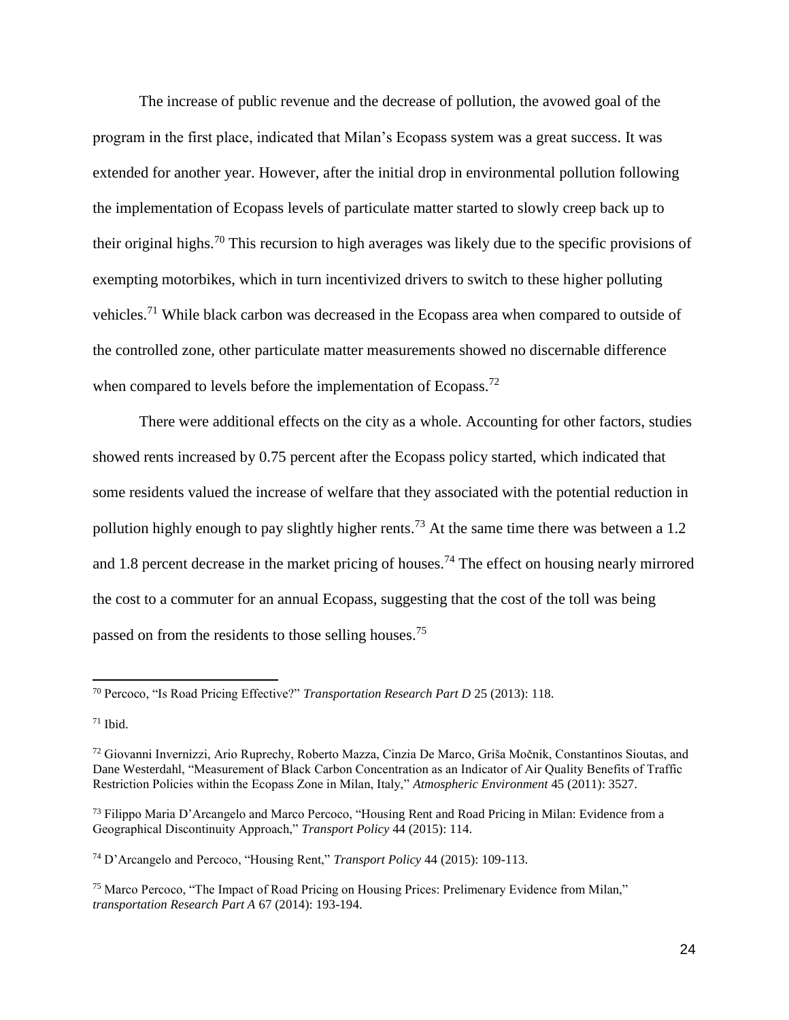The increase of public revenue and the decrease of pollution, the avowed goal of the program in the first place, indicated that Milan's Ecopass system was a great success. It was extended for another year. However, after the initial drop in environmental pollution following the implementation of Ecopass levels of particulate matter started to slowly creep back up to their original highs.<sup>70</sup> This recursion to high averages was likely due to the specific provisions of exempting motorbikes, which in turn incentivized drivers to switch to these higher polluting vehicles.<sup>71</sup> While black carbon was decreased in the Ecopass area when compared to outside of the controlled zone, other particulate matter measurements showed no discernable difference when compared to levels before the implementation of Ecopass.<sup>72</sup>

There were additional effects on the city as a whole. Accounting for other factors, studies showed rents increased by 0.75 percent after the Ecopass policy started, which indicated that some residents valued the increase of welfare that they associated with the potential reduction in pollution highly enough to pay slightly higher rents.<sup>73</sup> At the same time there was between a 1.2 and 1.8 percent decrease in the market pricing of houses.<sup>74</sup> The effect on housing nearly mirrored the cost to a commuter for an annual Ecopass, suggesting that the cost of the toll was being passed on from the residents to those selling houses.<sup>75</sup>

<sup>70</sup> Percoco, "Is Road Pricing Effective?" *Transportation Research Part D* 25 (2013): 118.

 $71$  Ibid.

<sup>72</sup> Giovanni Invernizzi, Ario Ruprechy, Roberto Mazza, Cinzia De Marco, Griša Močnik, Constantinos Sioutas, and Dane Westerdahl, "Measurement of Black Carbon Concentration as an Indicator of Air Quality Benefits of Traffic Restriction Policies within the Ecopass Zone in Milan, Italy," *Atmospheric Environment* 45 (2011): 3527.

<sup>73</sup> Filippo Maria D'Arcangelo and Marco Percoco, "Housing Rent and Road Pricing in Milan: Evidence from a Geographical Discontinuity Approach," *Transport Policy* 44 (2015): 114.

<sup>74</sup> D'Arcangelo and Percoco, "Housing Rent," *Transport Policy* 44 (2015): 109-113.

<sup>75</sup> Marco Percoco, "The Impact of Road Pricing on Housing Prices: Prelimenary Evidence from Milan," *transportation Research Part A* 67 (2014): 193-194.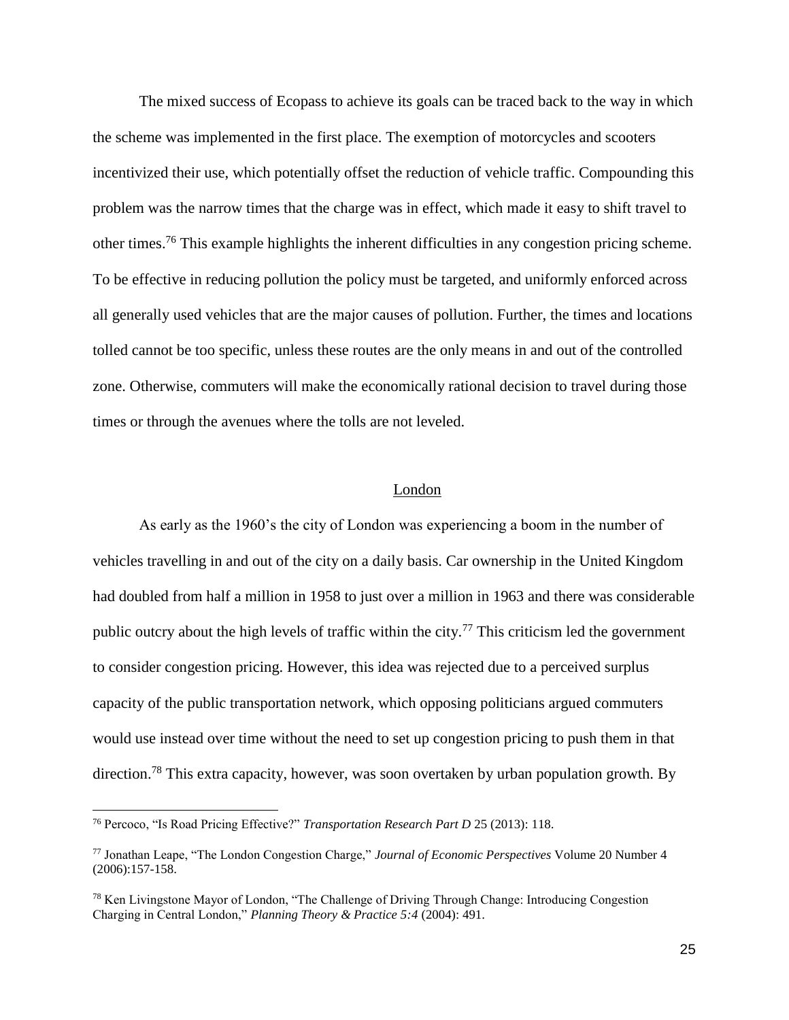The mixed success of Ecopass to achieve its goals can be traced back to the way in which the scheme was implemented in the first place. The exemption of motorcycles and scooters incentivized their use, which potentially offset the reduction of vehicle traffic. Compounding this problem was the narrow times that the charge was in effect, which made it easy to shift travel to other times.<sup>76</sup> This example highlights the inherent difficulties in any congestion pricing scheme. To be effective in reducing pollution the policy must be targeted, and uniformly enforced across all generally used vehicles that are the major causes of pollution. Further, the times and locations tolled cannot be too specific, unless these routes are the only means in and out of the controlled zone. Otherwise, commuters will make the economically rational decision to travel during those times or through the avenues where the tolls are not leveled.

#### London

As early as the 1960's the city of London was experiencing a boom in the number of vehicles travelling in and out of the city on a daily basis. Car ownership in the United Kingdom had doubled from half a million in 1958 to just over a million in 1963 and there was considerable public outcry about the high levels of traffic within the city.<sup>77</sup> This criticism led the government to consider congestion pricing. However, this idea was rejected due to a perceived surplus capacity of the public transportation network, which opposing politicians argued commuters would use instead over time without the need to set up congestion pricing to push them in that direction.<sup>78</sup> This extra capacity, however, was soon overtaken by urban population growth. By

<sup>76</sup> Percoco, "Is Road Pricing Effective?" *Transportation Research Part D* 25 (2013): 118.

<sup>77</sup> Jonathan Leape, "The London Congestion Charge," *Journal of Economic Perspectives* Volume 20 Number 4 (2006):157-158.

<sup>78</sup> Ken Livingstone Mayor of London, "The Challenge of Driving Through Change: Introducing Congestion Charging in Central London," *Planning Theory & Practice 5:4* (2004): 491.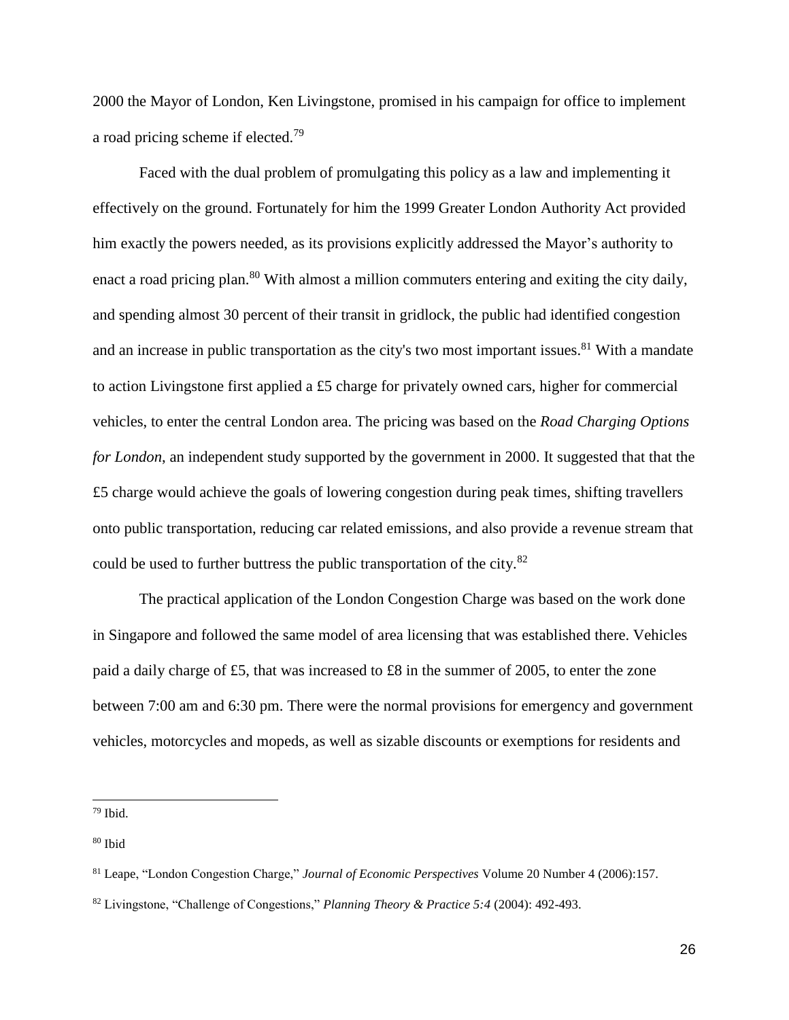2000 the Mayor of London, Ken Livingstone, promised in his campaign for office to implement a road pricing scheme if elected.<sup>79</sup>

Faced with the dual problem of promulgating this policy as a law and implementing it effectively on the ground. Fortunately for him the 1999 Greater London Authority Act provided him exactly the powers needed, as its provisions explicitly addressed the Mayor's authority to enact a road pricing plan.<sup>80</sup> With almost a million commuters entering and exiting the city daily, and spending almost 30 percent of their transit in gridlock, the public had identified congestion and an increase in public transportation as the city's two most important issues.<sup>81</sup> With a mandate to action Livingstone first applied a £5 charge for privately owned cars, higher for commercial vehicles, to enter the central London area. The pricing was based on the *Road Charging Options for London*, an independent study supported by the government in 2000. It suggested that that the £5 charge would achieve the goals of lowering congestion during peak times, shifting travellers onto public transportation, reducing car related emissions, and also provide a revenue stream that could be used to further buttress the public transportation of the city.<sup>82</sup>

The practical application of the London Congestion Charge was based on the work done in Singapore and followed the same model of area licensing that was established there. Vehicles paid a daily charge of £5, that was increased to £8 in the summer of 2005, to enter the zone between 7:00 am and 6:30 pm. There were the normal provisions for emergency and government vehicles, motorcycles and mopeds, as well as sizable discounts or exemptions for residents and

 $79$  Ibid.

<sup>80</sup> Ibid

<sup>81</sup> Leape, "London Congestion Charge," *Journal of Economic Perspectives* Volume 20 Number 4 (2006):157.

<sup>82</sup> Livingstone, "Challenge of Congestions," *Planning Theory & Practice 5:4* (2004): 492-493.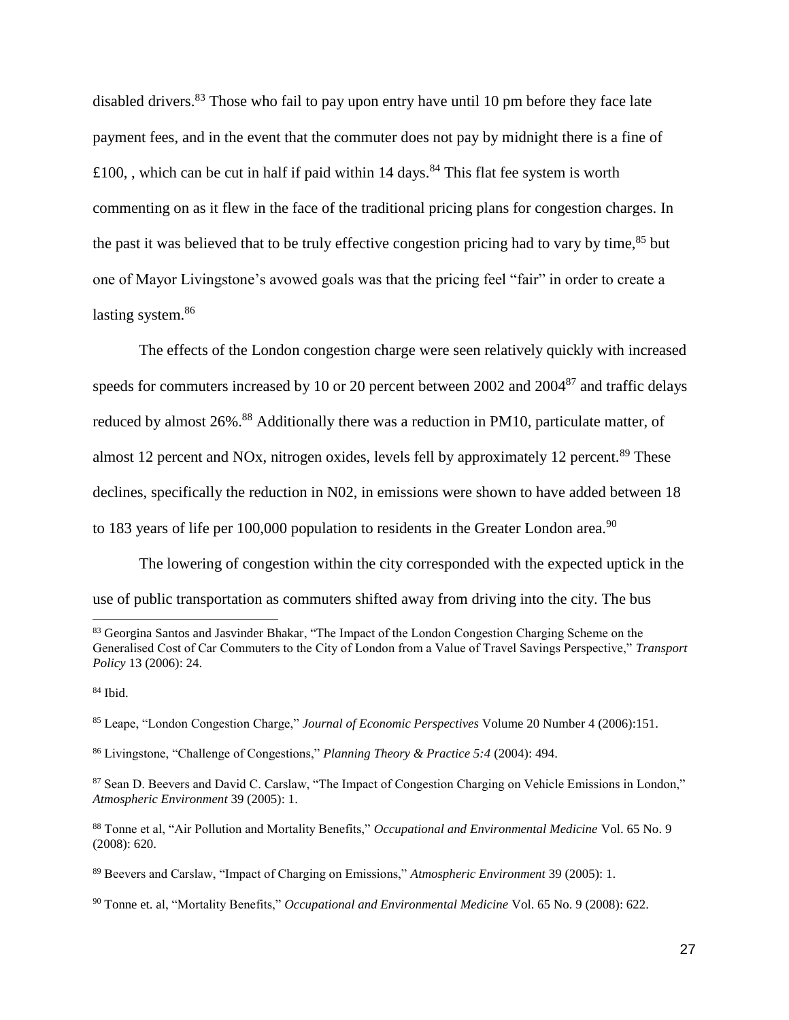disabled drivers.<sup>83</sup> Those who fail to pay upon entry have until 10 pm before they face late payment fees, and in the event that the commuter does not pay by midnight there is a fine of £100, , which can be cut in half if paid within 14 days.<sup>84</sup> This flat fee system is worth commenting on as it flew in the face of the traditional pricing plans for congestion charges. In the past it was believed that to be truly effective congestion pricing had to vary by time, $85$  but one of Mayor Livingstone's avowed goals was that the pricing feel "fair" in order to create a lasting system.<sup>86</sup>

The effects of the London congestion charge were seen relatively quickly with increased speeds for commuters increased by 10 or 20 percent between 2002 and 2004<sup>87</sup> and traffic delays reduced by almost 26%.<sup>88</sup> Additionally there was a reduction in PM10, particulate matter, of almost 12 percent and NOx, nitrogen oxides, levels fell by approximately 12 percent.<sup>89</sup> These declines, specifically the reduction in N02, in emissions were shown to have added between 18 to 183 years of life per 100,000 population to residents in the Greater London area.<sup>90</sup>

The lowering of congestion within the city corresponded with the expected uptick in the use of public transportation as commuters shifted away from driving into the city. The bus

 $\overline{a}$ 

<sup>83</sup> Georgina Santos and Jasvinder Bhakar, "The Impact of the London Congestion Charging Scheme on the Generalised Cost of Car Commuters to the City of London from a Value of Travel Savings Perspective," *Transport Policy* 13 (2006): 24.

<sup>84</sup> Ibid.

<sup>85</sup> Leape, "London Congestion Charge," *Journal of Economic Perspectives* Volume 20 Number 4 (2006):151.

<sup>86</sup> Livingstone, "Challenge of Congestions," *Planning Theory & Practice 5:4* (2004): 494.

<sup>87</sup> Sean D. Beevers and David C. Carslaw, "The Impact of Congestion Charging on Vehicle Emissions in London," *Atmospheric Environment* 39 (2005): 1.

<sup>88</sup> Tonne et al, "Air Pollution and Mortality Benefits," *Occupational and Environmental Medicine* Vol. 65 No. 9 (2008): 620.

<sup>89</sup> Beevers and Carslaw, "Impact of Charging on Emissions," *Atmospheric Environment* 39 (2005): 1.

<sup>90</sup> Tonne et. al, "Mortality Benefits," *Occupational and Environmental Medicine* Vol. 65 No. 9 (2008): 622.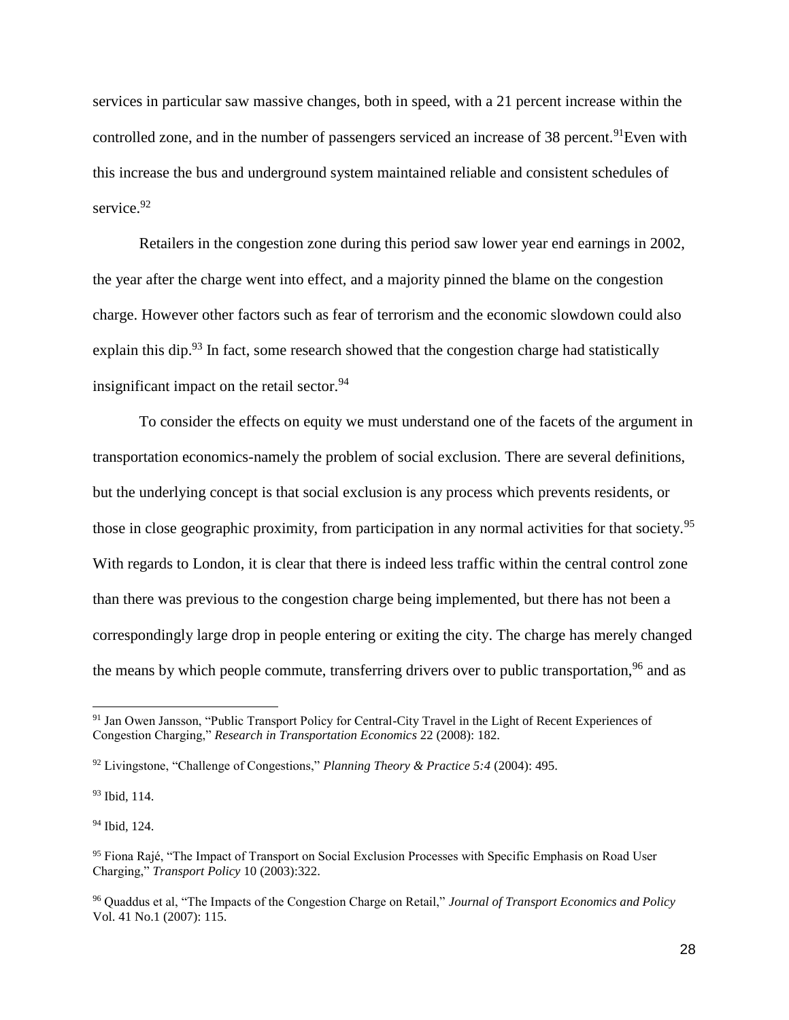services in particular saw massive changes, both in speed, with a 21 percent increase within the controlled zone, and in the number of passengers serviced an increase of 38 percent.<sup>91</sup>Even with this increase the bus and underground system maintained reliable and consistent schedules of service.<sup>92</sup>

Retailers in the congestion zone during this period saw lower year end earnings in 2002, the year after the charge went into effect, and a majority pinned the blame on the congestion charge. However other factors such as fear of terrorism and the economic slowdown could also explain this dip.<sup>93</sup> In fact, some research showed that the congestion charge had statistically insignificant impact on the retail sector. $94$ 

To consider the effects on equity we must understand one of the facets of the argument in transportation economics-namely the problem of social exclusion. There are several definitions, but the underlying concept is that social exclusion is any process which prevents residents, or those in close geographic proximity, from participation in any normal activities for that society.<sup>95</sup> With regards to London, it is clear that there is indeed less traffic within the central control zone than there was previous to the congestion charge being implemented, but there has not been a correspondingly large drop in people entering or exiting the city. The charge has merely changed the means by which people commute, transferring drivers over to public transportation,  $96$  and as

<sup>93</sup> Ibid, 114.

 $\overline{a}$ 

<sup>94</sup> Ibid, 124.

<sup>91</sup> Jan Owen Jansson, "Public Transport Policy for Central-City Travel in the Light of Recent Experiences of Congestion Charging," *Research in Transportation Economics* 22 (2008): 182.

<sup>92</sup> Livingstone, "Challenge of Congestions," *Planning Theory & Practice 5:4* (2004): 495.

<sup>95</sup> Fiona Rajé, "The Impact of Transport on Social Exclusion Processes with Specific Emphasis on Road User Charging," *Transport Policy* 10 (2003):322.

<sup>96</sup> Quaddus et al, "The Impacts of the Congestion Charge on Retail," *Journal of Transport Economics and Policy* Vol. 41 No.1 (2007): 115.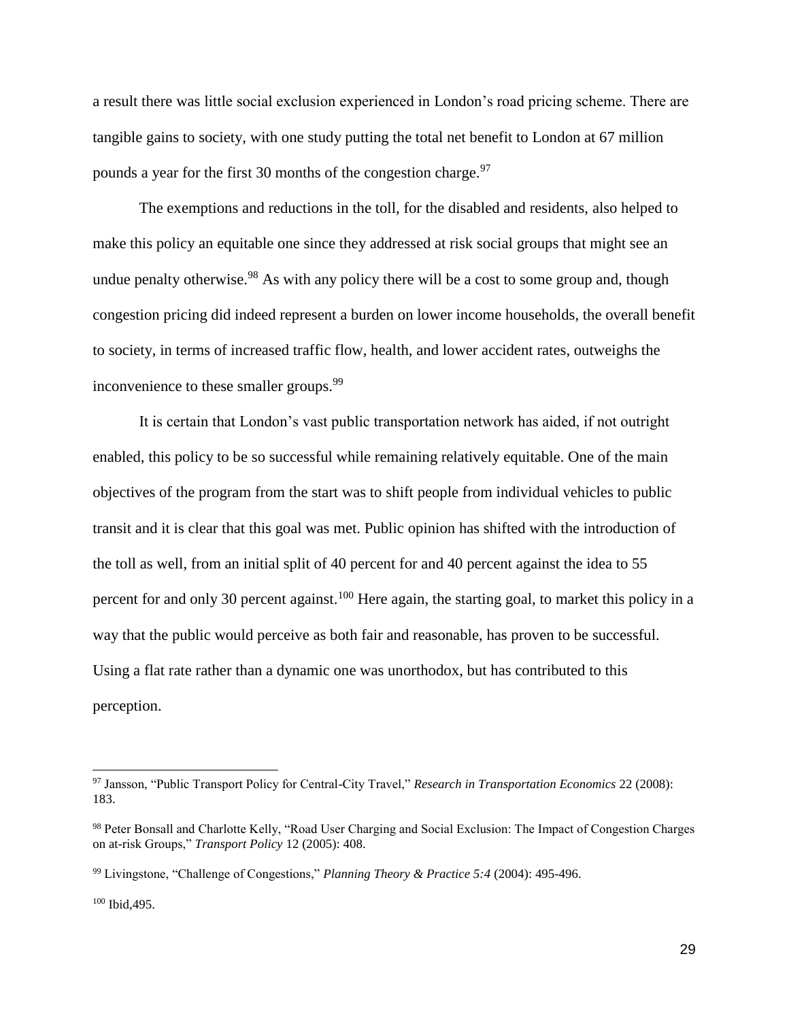a result there was little social exclusion experienced in London's road pricing scheme. There are tangible gains to society, with one study putting the total net benefit to London at 67 million pounds a year for the first 30 months of the congestion charge.<sup>97</sup>

The exemptions and reductions in the toll, for the disabled and residents, also helped to make this policy an equitable one since they addressed at risk social groups that might see an undue penalty otherwise.<sup>98</sup> As with any policy there will be a cost to some group and, though congestion pricing did indeed represent a burden on lower income households, the overall benefit to society, in terms of increased traffic flow, health, and lower accident rates, outweighs the inconvenience to these smaller groups.<sup>99</sup>

It is certain that London's vast public transportation network has aided, if not outright enabled, this policy to be so successful while remaining relatively equitable. One of the main objectives of the program from the start was to shift people from individual vehicles to public transit and it is clear that this goal was met. Public opinion has shifted with the introduction of the toll as well, from an initial split of 40 percent for and 40 percent against the idea to 55 percent for and only 30 percent against.<sup>100</sup> Here again, the starting goal, to market this policy in a way that the public would perceive as both fair and reasonable, has proven to be successful. Using a flat rate rather than a dynamic one was unorthodox, but has contributed to this perception.

 $\overline{a}$ 

<sup>97</sup> Jansson, "Public Transport Policy for Central-City Travel," *Research in Transportation Economics* 22 (2008): 183.

<sup>98</sup> Peter Bonsall and Charlotte Kelly, "Road User Charging and Social Exclusion: The Impact of Congestion Charges on at-risk Groups," *Transport Policy* 12 (2005): 408.

<sup>99</sup> Livingstone, "Challenge of Congestions," *Planning Theory & Practice 5:4* (2004): 495-496.

<sup>100</sup> Ibid,495.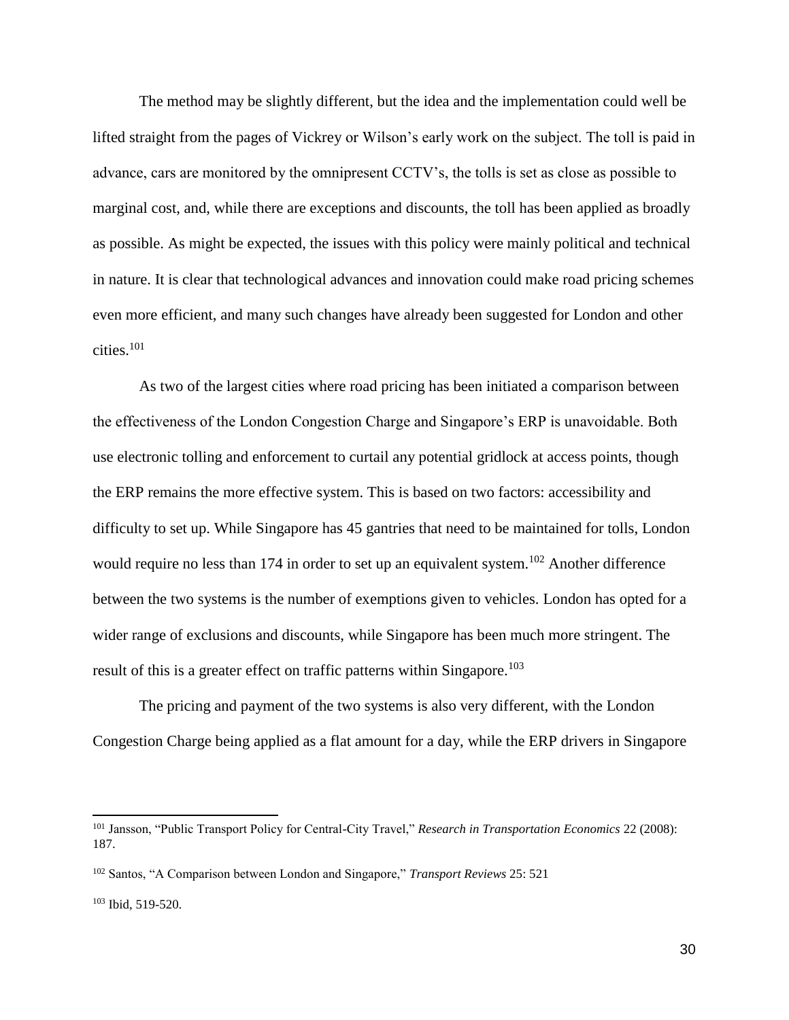The method may be slightly different, but the idea and the implementation could well be lifted straight from the pages of Vickrey or Wilson's early work on the subject. The toll is paid in advance, cars are monitored by the omnipresent CCTV's, the tolls is set as close as possible to marginal cost, and, while there are exceptions and discounts, the toll has been applied as broadly as possible. As might be expected, the issues with this policy were mainly political and technical in nature. It is clear that technological advances and innovation could make road pricing schemes even more efficient, and many such changes have already been suggested for London and other cities.<sup>101</sup>

As two of the largest cities where road pricing has been initiated a comparison between the effectiveness of the London Congestion Charge and Singapore's ERP is unavoidable. Both use electronic tolling and enforcement to curtail any potential gridlock at access points, though the ERP remains the more effective system. This is based on two factors: accessibility and difficulty to set up. While Singapore has 45 gantries that need to be maintained for tolls, London would require no less than 174 in order to set up an equivalent system.<sup>102</sup> Another difference between the two systems is the number of exemptions given to vehicles. London has opted for a wider range of exclusions and discounts, while Singapore has been much more stringent. The result of this is a greater effect on traffic patterns within Singapore.<sup>103</sup>

The pricing and payment of the two systems is also very different, with the London Congestion Charge being applied as a flat amount for a day, while the ERP drivers in Singapore

<sup>101</sup> Jansson, "Public Transport Policy for Central-City Travel," *Research in Transportation Economics* 22 (2008): 187.

<sup>102</sup> Santos, "A Comparison between London and Singapore," *Transport Reviews* 25: 521

<sup>103</sup> Ibid, 519-520.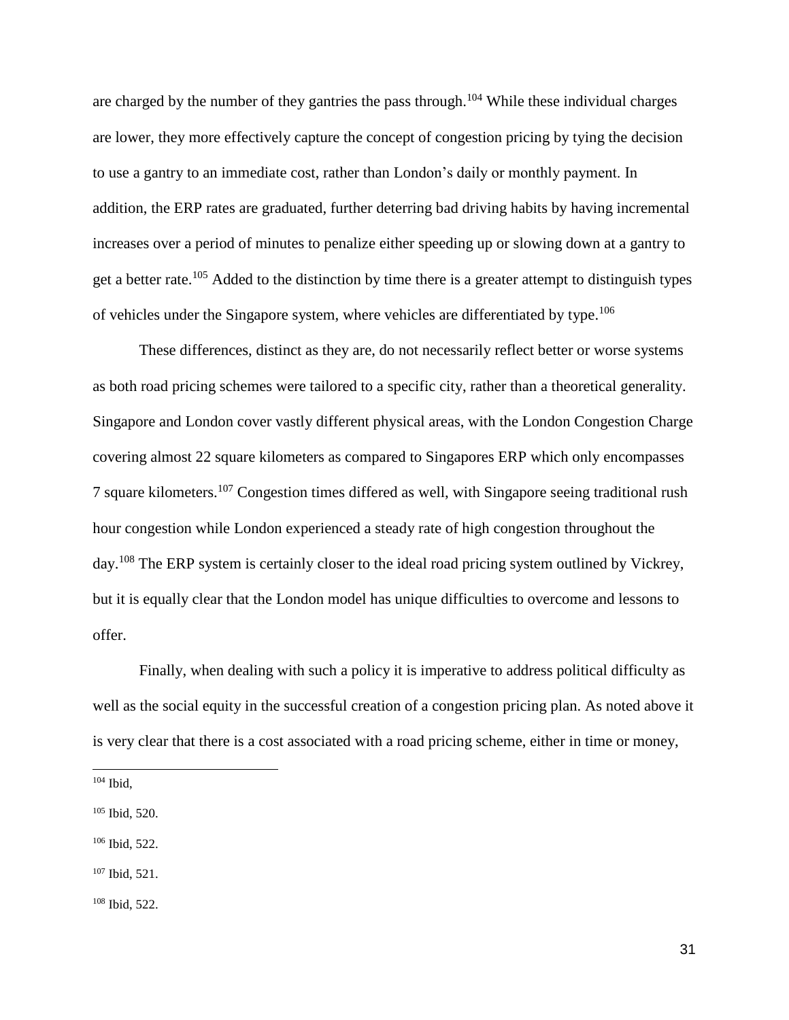are charged by the number of they gantries the pass through.<sup>104</sup> While these individual charges are lower, they more effectively capture the concept of congestion pricing by tying the decision to use a gantry to an immediate cost, rather than London's daily or monthly payment. In addition, the ERP rates are graduated, further deterring bad driving habits by having incremental increases over a period of minutes to penalize either speeding up or slowing down at a gantry to get a better rate.<sup>105</sup> Added to the distinction by time there is a greater attempt to distinguish types of vehicles under the Singapore system, where vehicles are differentiated by type.<sup>106</sup>

These differences, distinct as they are, do not necessarily reflect better or worse systems as both road pricing schemes were tailored to a specific city, rather than a theoretical generality. Singapore and London cover vastly different physical areas, with the London Congestion Charge covering almost 22 square kilometers as compared to Singapores ERP which only encompasses 7 square kilometers.<sup>107</sup> Congestion times differed as well, with Singapore seeing traditional rush hour congestion while London experienced a steady rate of high congestion throughout the day.<sup>108</sup> The ERP system is certainly closer to the ideal road pricing system outlined by Vickrey, but it is equally clear that the London model has unique difficulties to overcome and lessons to offer.

Finally, when dealing with such a policy it is imperative to address political difficulty as well as the social equity in the successful creation of a congestion pricing plan. As noted above it is very clear that there is a cost associated with a road pricing scheme, either in time or money,

- <sup>105</sup> Ibid, 520.
- <sup>106</sup> Ibid, 522.
- <sup>107</sup> Ibid, 521.

<sup>108</sup> Ibid, 522.

<sup>104</sup> Ibid,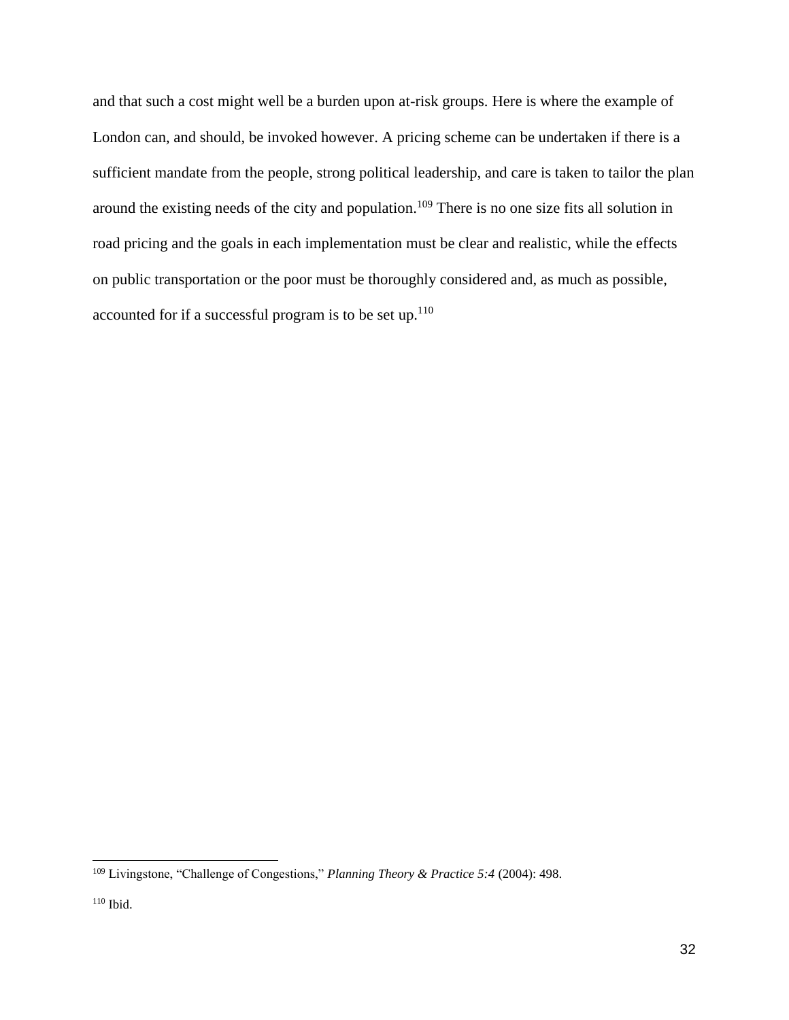and that such a cost might well be a burden upon at-risk groups. Here is where the example of London can, and should, be invoked however. A pricing scheme can be undertaken if there is a sufficient mandate from the people, strong political leadership, and care is taken to tailor the plan around the existing needs of the city and population.<sup>109</sup> There is no one size fits all solution in road pricing and the goals in each implementation must be clear and realistic, while the effects on public transportation or the poor must be thoroughly considered and, as much as possible, accounted for if a successful program is to be set up. $110$ 

 <sup>109</sup> Livingstone, "Challenge of Congestions," *Planning Theory & Practice 5:4* (2004): 498.

 $110$  Ibid.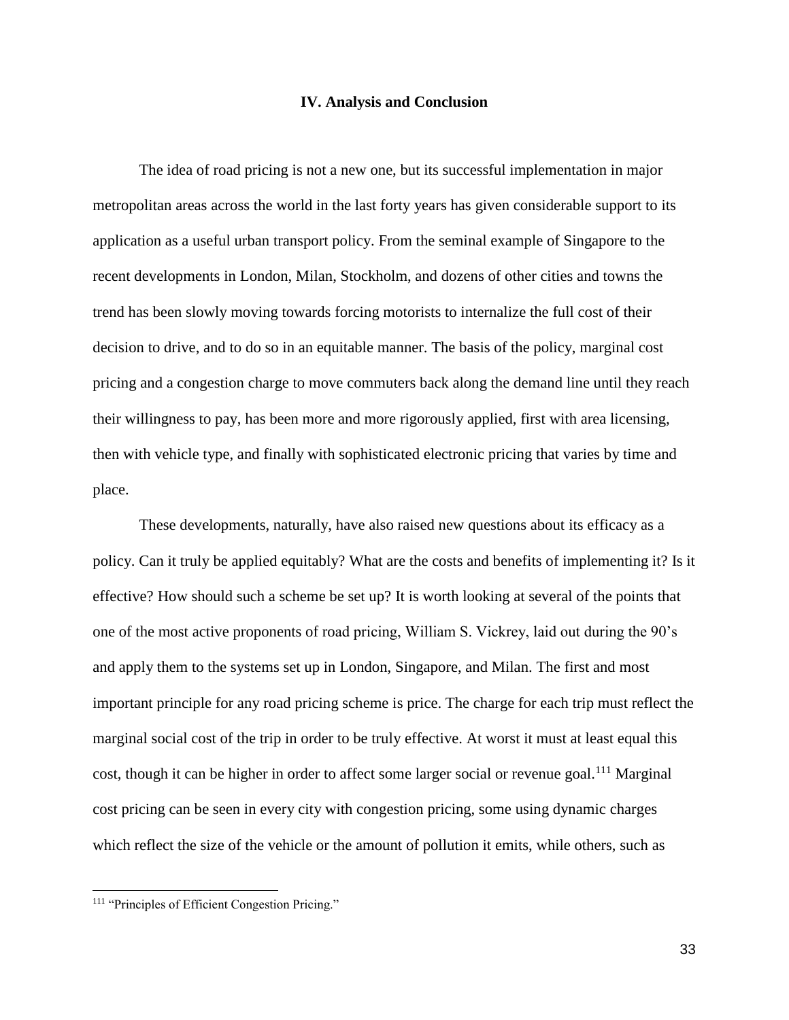#### **IV. Analysis and Conclusion**

The idea of road pricing is not a new one, but its successful implementation in major metropolitan areas across the world in the last forty years has given considerable support to its application as a useful urban transport policy. From the seminal example of Singapore to the recent developments in London, Milan, Stockholm, and dozens of other cities and towns the trend has been slowly moving towards forcing motorists to internalize the full cost of their decision to drive, and to do so in an equitable manner. The basis of the policy, marginal cost pricing and a congestion charge to move commuters back along the demand line until they reach their willingness to pay, has been more and more rigorously applied, first with area licensing, then with vehicle type, and finally with sophisticated electronic pricing that varies by time and place.

These developments, naturally, have also raised new questions about its efficacy as a policy. Can it truly be applied equitably? What are the costs and benefits of implementing it? Is it effective? How should such a scheme be set up? It is worth looking at several of the points that one of the most active proponents of road pricing, William S. Vickrey, laid out during the 90's and apply them to the systems set up in London, Singapore, and Milan. The first and most important principle for any road pricing scheme is price. The charge for each trip must reflect the marginal social cost of the trip in order to be truly effective. At worst it must at least equal this cost, though it can be higher in order to affect some larger social or revenue goal.<sup>111</sup> Marginal cost pricing can be seen in every city with congestion pricing, some using dynamic charges which reflect the size of the vehicle or the amount of pollution it emits, while others, such as

<sup>&</sup>lt;sup>111</sup> "Principles of Efficient Congestion Pricing."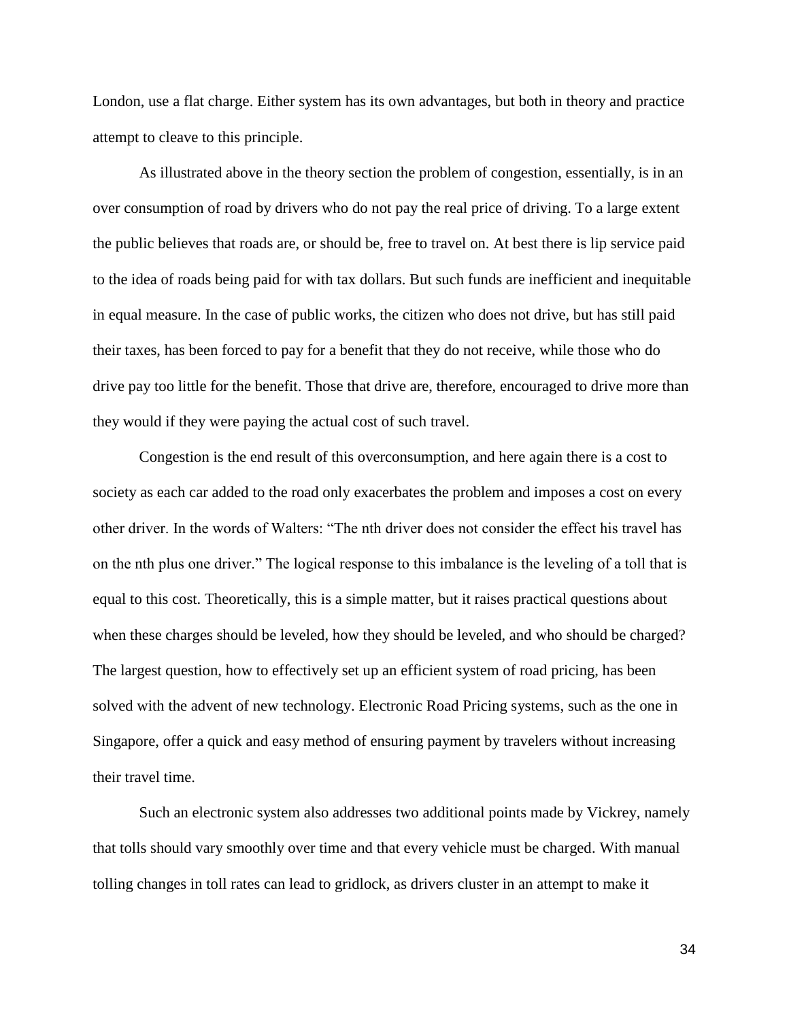London, use a flat charge. Either system has its own advantages, but both in theory and practice attempt to cleave to this principle.

As illustrated above in the theory section the problem of congestion, essentially, is in an over consumption of road by drivers who do not pay the real price of driving. To a large extent the public believes that roads are, or should be, free to travel on. At best there is lip service paid to the idea of roads being paid for with tax dollars. But such funds are inefficient and inequitable in equal measure. In the case of public works, the citizen who does not drive, but has still paid their taxes, has been forced to pay for a benefit that they do not receive, while those who do drive pay too little for the benefit. Those that drive are, therefore, encouraged to drive more than they would if they were paying the actual cost of such travel.

Congestion is the end result of this overconsumption, and here again there is a cost to society as each car added to the road only exacerbates the problem and imposes a cost on every other driver. In the words of Walters: "The nth driver does not consider the effect his travel has on the nth plus one driver." The logical response to this imbalance is the leveling of a toll that is equal to this cost. Theoretically, this is a simple matter, but it raises practical questions about when these charges should be leveled, how they should be leveled, and who should be charged? The largest question, how to effectively set up an efficient system of road pricing, has been solved with the advent of new technology. Electronic Road Pricing systems, such as the one in Singapore, offer a quick and easy method of ensuring payment by travelers without increasing their travel time.

Such an electronic system also addresses two additional points made by Vickrey, namely that tolls should vary smoothly over time and that every vehicle must be charged. With manual tolling changes in toll rates can lead to gridlock, as drivers cluster in an attempt to make it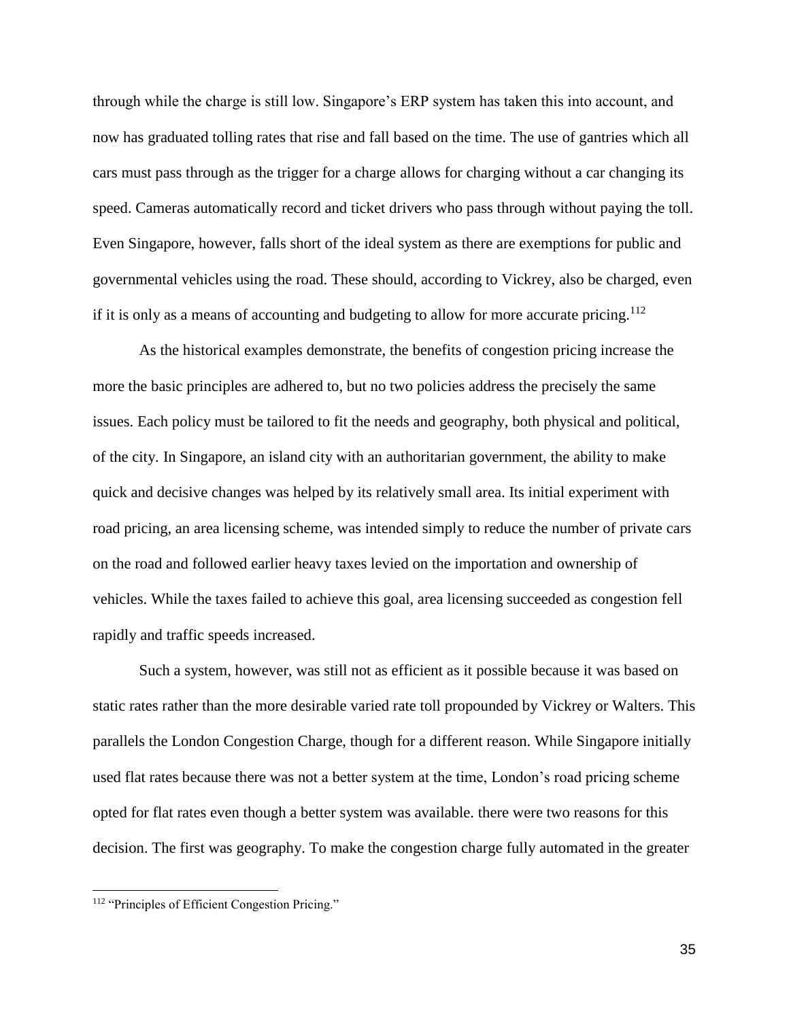through while the charge is still low. Singapore's ERP system has taken this into account, and now has graduated tolling rates that rise and fall based on the time. The use of gantries which all cars must pass through as the trigger for a charge allows for charging without a car changing its speed. Cameras automatically record and ticket drivers who pass through without paying the toll. Even Singapore, however, falls short of the ideal system as there are exemptions for public and governmental vehicles using the road. These should, according to Vickrey, also be charged, even if it is only as a means of accounting and budgeting to allow for more accurate pricing.<sup>112</sup>

As the historical examples demonstrate, the benefits of congestion pricing increase the more the basic principles are adhered to, but no two policies address the precisely the same issues. Each policy must be tailored to fit the needs and geography, both physical and political, of the city. In Singapore, an island city with an authoritarian government, the ability to make quick and decisive changes was helped by its relatively small area. Its initial experiment with road pricing, an area licensing scheme, was intended simply to reduce the number of private cars on the road and followed earlier heavy taxes levied on the importation and ownership of vehicles. While the taxes failed to achieve this goal, area licensing succeeded as congestion fell rapidly and traffic speeds increased.

Such a system, however, was still not as efficient as it possible because it was based on static rates rather than the more desirable varied rate toll propounded by Vickrey or Walters. This parallels the London Congestion Charge, though for a different reason. While Singapore initially used flat rates because there was not a better system at the time, London's road pricing scheme opted for flat rates even though a better system was available. there were two reasons for this decision. The first was geography. To make the congestion charge fully automated in the greater

<sup>&</sup>lt;sup>112</sup> "Principles of Efficient Congestion Pricing."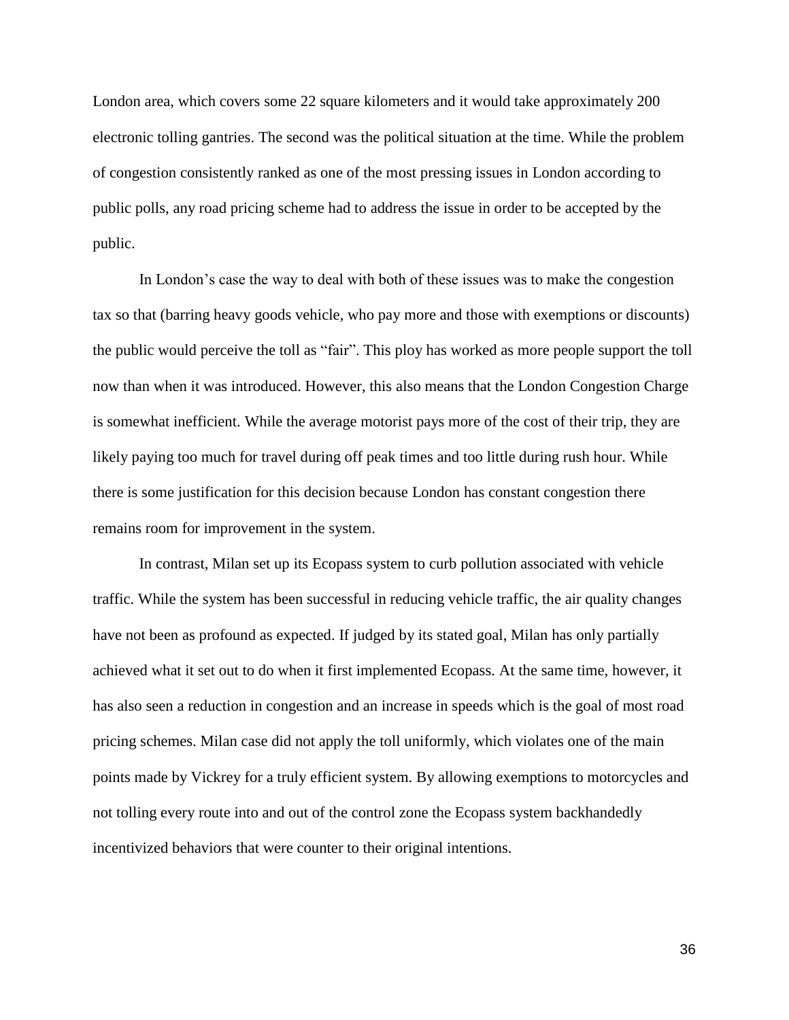London area, which covers some 22 square kilometers and it would take approximately 200 electronic tolling gantries. The second was the political situation at the time. While the problem of congestion consistently ranked as one of the most pressing issues in London according to public polls, any road pricing scheme had to address the issue in order to be accepted by the public.

In London's case the way to deal with both of these issues was to make the congestion tax so that (barring heavy goods vehicle, who pay more and those with exemptions or discounts) the public would perceive the toll as "fair". This ploy has worked as more people support the toll now than when it was introduced. However, this also means that the London Congestion Charge is somewhat inefficient. While the average motorist pays more of the cost of their trip, they are likely paying too much for travel during off peak times and too little during rush hour. While there is some justification for this decision because London has constant congestion there remains room for improvement in the system.

In contrast, Milan set up its Ecopass system to curb pollution associated with vehicle traffic. While the system has been successful in reducing vehicle traffic, the air quality changes have not been as profound as expected. If judged by its stated goal, Milan has only partially achieved what it set out to do when it first implemented Ecopass. At the same time, however, it has also seen a reduction in congestion and an increase in speeds which is the goal of most road pricing schemes. Milan case did not apply the toll uniformly, which violates one of the main points made by Vickrey for a truly efficient system. By allowing exemptions to motorcycles and not tolling every route into and out of the control zone the Ecopass system backhandedly incentivized behaviors that were counter to their original intentions.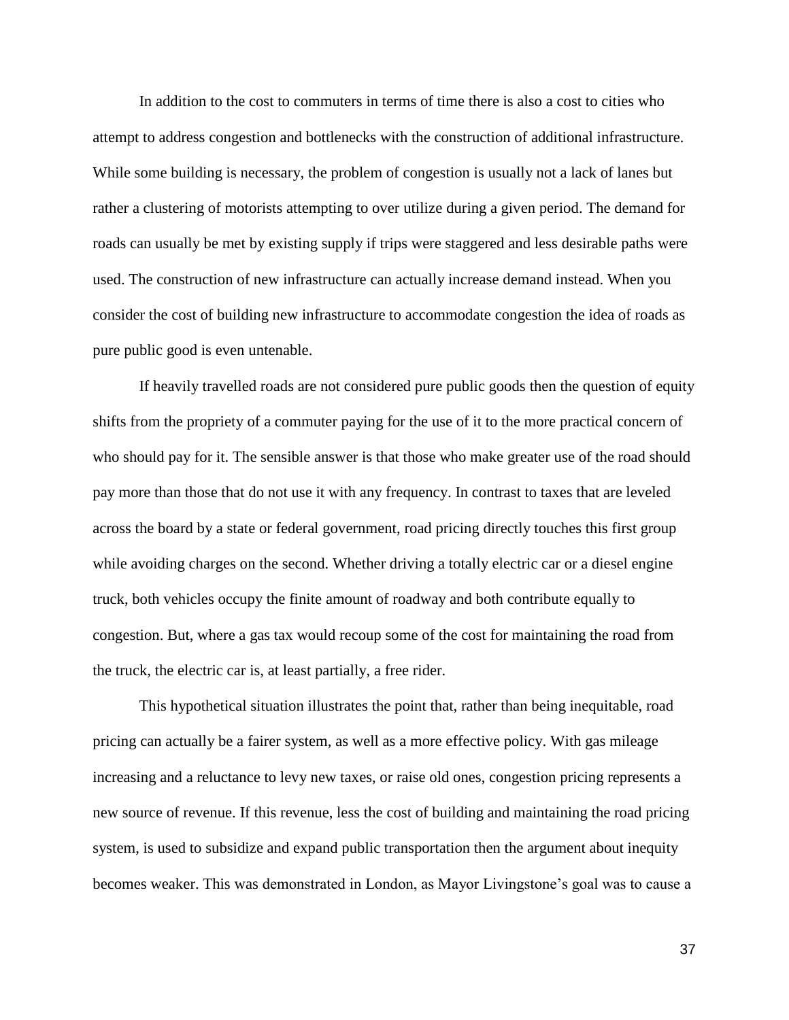In addition to the cost to commuters in terms of time there is also a cost to cities who attempt to address congestion and bottlenecks with the construction of additional infrastructure. While some building is necessary, the problem of congestion is usually not a lack of lanes but rather a clustering of motorists attempting to over utilize during a given period. The demand for roads can usually be met by existing supply if trips were staggered and less desirable paths were used. The construction of new infrastructure can actually increase demand instead. When you consider the cost of building new infrastructure to accommodate congestion the idea of roads as pure public good is even untenable.

If heavily travelled roads are not considered pure public goods then the question of equity shifts from the propriety of a commuter paying for the use of it to the more practical concern of who should pay for it. The sensible answer is that those who make greater use of the road should pay more than those that do not use it with any frequency. In contrast to taxes that are leveled across the board by a state or federal government, road pricing directly touches this first group while avoiding charges on the second. Whether driving a totally electric car or a diesel engine truck, both vehicles occupy the finite amount of roadway and both contribute equally to congestion. But, where a gas tax would recoup some of the cost for maintaining the road from the truck, the electric car is, at least partially, a free rider.

This hypothetical situation illustrates the point that, rather than being inequitable, road pricing can actually be a fairer system, as well as a more effective policy. With gas mileage increasing and a reluctance to levy new taxes, or raise old ones, congestion pricing represents a new source of revenue. If this revenue, less the cost of building and maintaining the road pricing system, is used to subsidize and expand public transportation then the argument about inequity becomes weaker. This was demonstrated in London, as Mayor Livingstone's goal was to cause a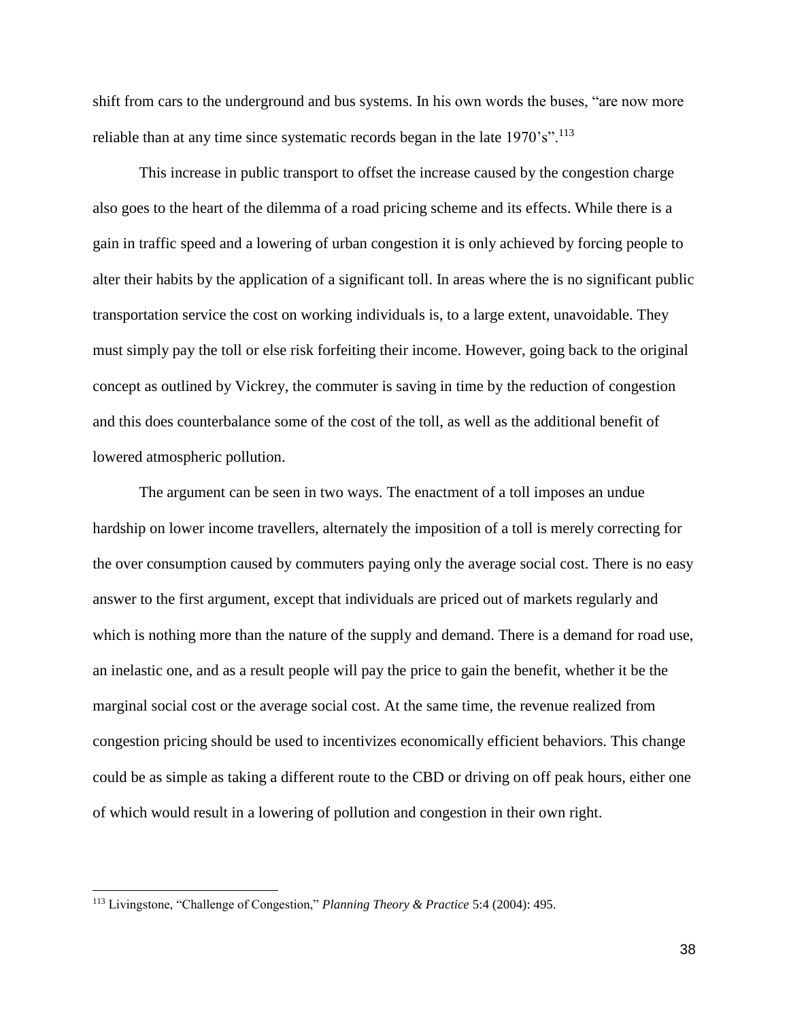shift from cars to the underground and bus systems. In his own words the buses, "are now more reliable than at any time since systematic records began in the late  $1970^{\circ}$ s".<sup>113</sup>

This increase in public transport to offset the increase caused by the congestion charge also goes to the heart of the dilemma of a road pricing scheme and its effects. While there is a gain in traffic speed and a lowering of urban congestion it is only achieved by forcing people to alter their habits by the application of a significant toll. In areas where the is no significant public transportation service the cost on working individuals is, to a large extent, unavoidable. They must simply pay the toll or else risk forfeiting their income. However, going back to the original concept as outlined by Vickrey, the commuter is saving in time by the reduction of congestion and this does counterbalance some of the cost of the toll, as well as the additional benefit of lowered atmospheric pollution.

The argument can be seen in two ways. The enactment of a toll imposes an undue hardship on lower income travellers, alternately the imposition of a toll is merely correcting for the over consumption caused by commuters paying only the average social cost. There is no easy answer to the first argument, except that individuals are priced out of markets regularly and which is nothing more than the nature of the supply and demand. There is a demand for road use, an inelastic one, and as a result people will pay the price to gain the benefit, whether it be the marginal social cost or the average social cost. At the same time, the revenue realized from congestion pricing should be used to incentivizes economically efficient behaviors. This change could be as simple as taking a different route to the CBD or driving on off peak hours, either one of which would result in a lowering of pollution and congestion in their own right.

<sup>113</sup> Livingstone, "Challenge of Congestion," *Planning Theory & Practice* 5:4 (2004): 495.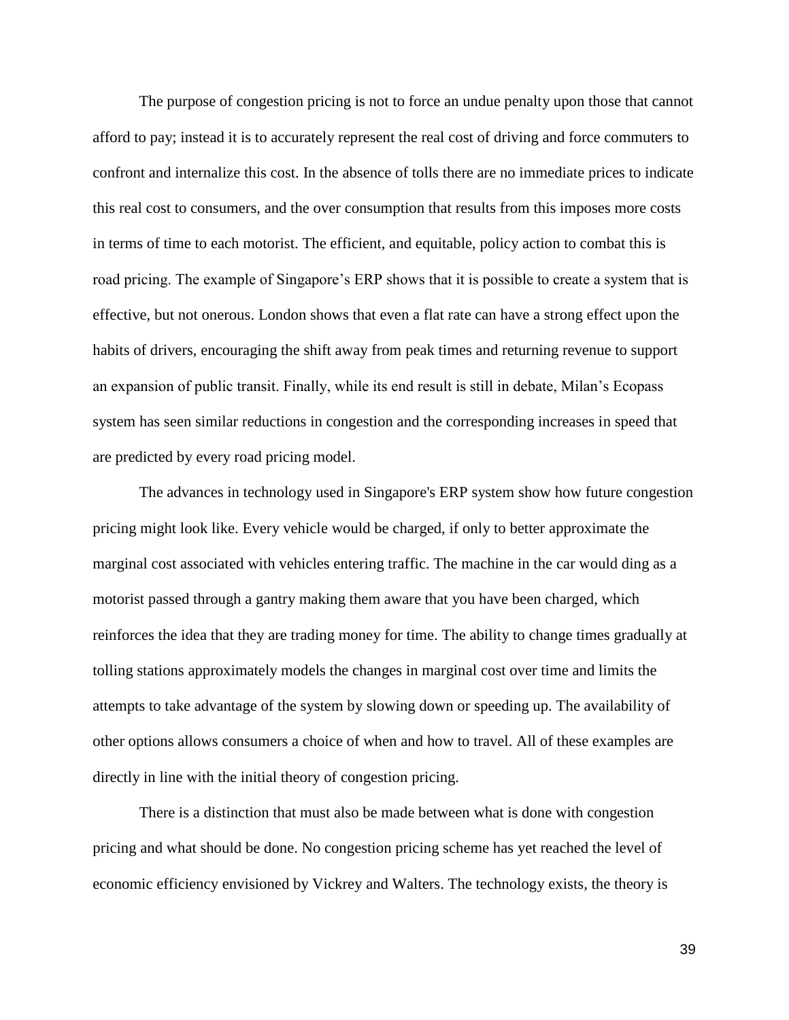The purpose of congestion pricing is not to force an undue penalty upon those that cannot afford to pay; instead it is to accurately represent the real cost of driving and force commuters to confront and internalize this cost. In the absence of tolls there are no immediate prices to indicate this real cost to consumers, and the over consumption that results from this imposes more costs in terms of time to each motorist. The efficient, and equitable, policy action to combat this is road pricing. The example of Singapore's ERP shows that it is possible to create a system that is effective, but not onerous. London shows that even a flat rate can have a strong effect upon the habits of drivers, encouraging the shift away from peak times and returning revenue to support an expansion of public transit. Finally, while its end result is still in debate, Milan's Ecopass system has seen similar reductions in congestion and the corresponding increases in speed that are predicted by every road pricing model.

The advances in technology used in Singapore's ERP system show how future congestion pricing might look like. Every vehicle would be charged, if only to better approximate the marginal cost associated with vehicles entering traffic. The machine in the car would ding as a motorist passed through a gantry making them aware that you have been charged, which reinforces the idea that they are trading money for time. The ability to change times gradually at tolling stations approximately models the changes in marginal cost over time and limits the attempts to take advantage of the system by slowing down or speeding up. The availability of other options allows consumers a choice of when and how to travel. All of these examples are directly in line with the initial theory of congestion pricing.

There is a distinction that must also be made between what is done with congestion pricing and what should be done. No congestion pricing scheme has yet reached the level of economic efficiency envisioned by Vickrey and Walters. The technology exists, the theory is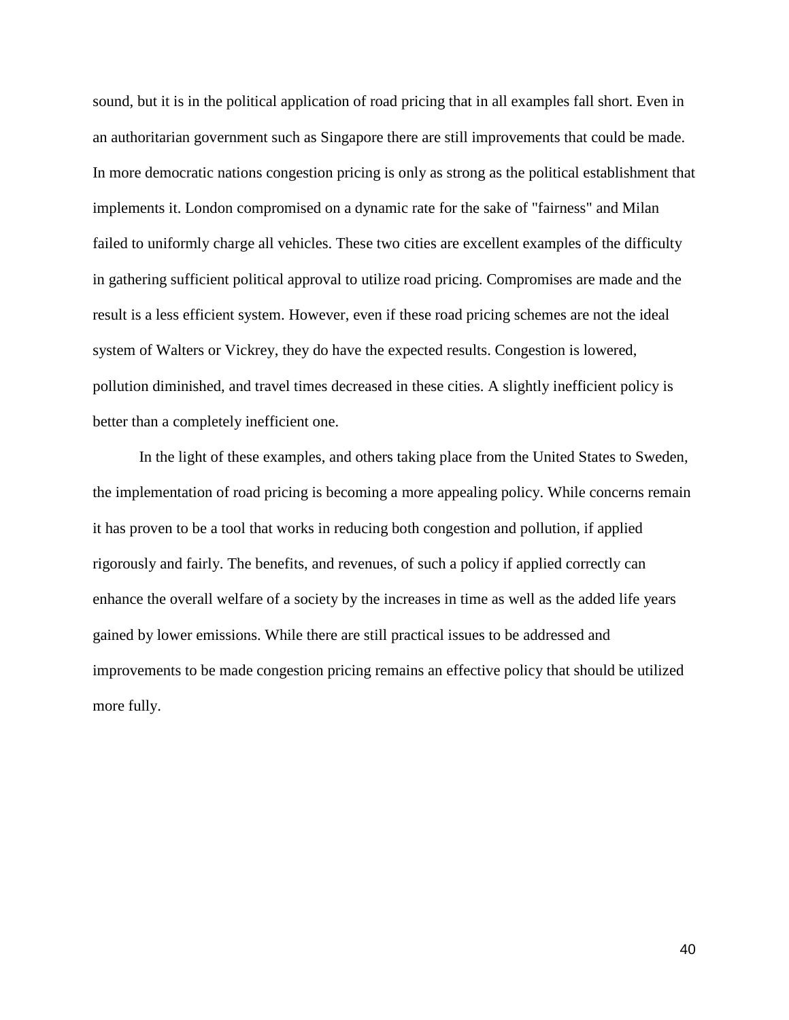sound, but it is in the political application of road pricing that in all examples fall short. Even in an authoritarian government such as Singapore there are still improvements that could be made. In more democratic nations congestion pricing is only as strong as the political establishment that implements it. London compromised on a dynamic rate for the sake of "fairness" and Milan failed to uniformly charge all vehicles. These two cities are excellent examples of the difficulty in gathering sufficient political approval to utilize road pricing. Compromises are made and the result is a less efficient system. However, even if these road pricing schemes are not the ideal system of Walters or Vickrey, they do have the expected results. Congestion is lowered, pollution diminished, and travel times decreased in these cities. A slightly inefficient policy is better than a completely inefficient one.

In the light of these examples, and others taking place from the United States to Sweden, the implementation of road pricing is becoming a more appealing policy. While concerns remain it has proven to be a tool that works in reducing both congestion and pollution, if applied rigorously and fairly. The benefits, and revenues, of such a policy if applied correctly can enhance the overall welfare of a society by the increases in time as well as the added life years gained by lower emissions. While there are still practical issues to be addressed and improvements to be made congestion pricing remains an effective policy that should be utilized more fully.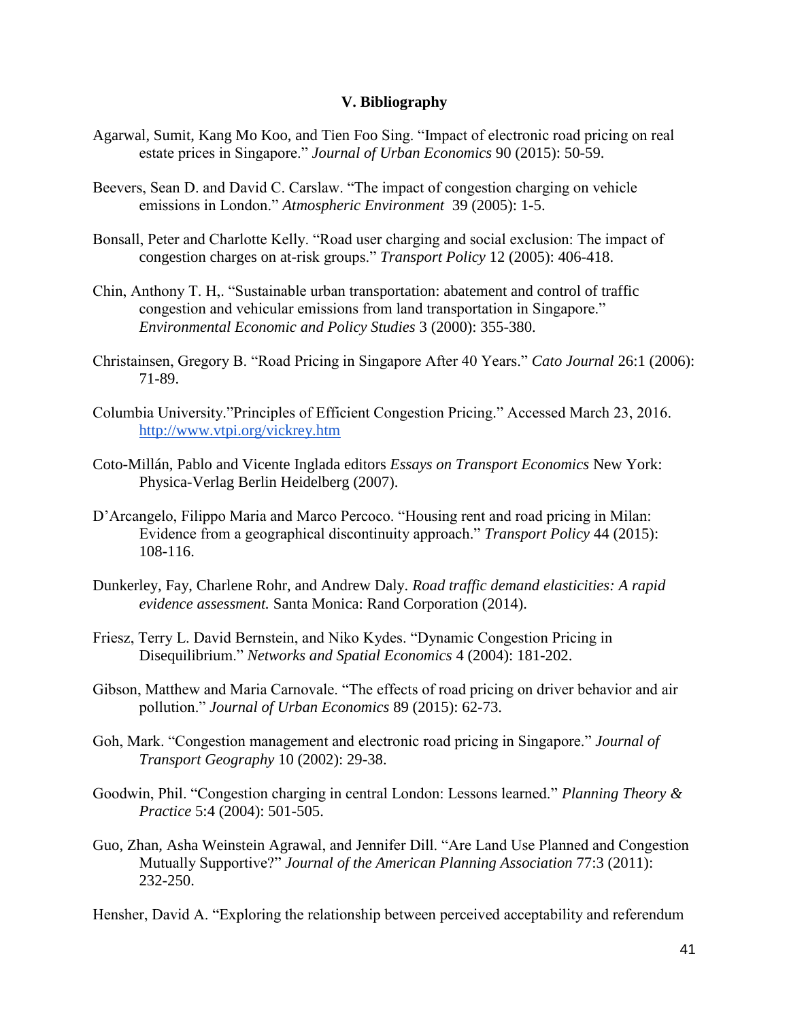#### **V. Bibliography**

- Agarwal, Sumit, Kang Mo Koo, and Tien Foo Sing. "Impact of electronic road pricing on real estate prices in Singapore." *Journal of Urban Economics* 90 (2015): 50-59.
- Beevers, Sean D. and David C. Carslaw. "The impact of congestion charging on vehicle emissions in London." *Atmospheric Environment* 39 (2005): 1-5.
- Bonsall, Peter and Charlotte Kelly. "Road user charging and social exclusion: The impact of congestion charges on at-risk groups." *Transport Policy* 12 (2005): 406-418.
- Chin, Anthony T. H,. "Sustainable urban transportation: abatement and control of traffic congestion and vehicular emissions from land transportation in Singapore." *Environmental Economic and Policy Studies* 3 (2000): 355-380.
- Christainsen, Gregory B. "Road Pricing in Singapore After 40 Years." *Cato Journal* 26:1 (2006): 71-89.
- Columbia University."Principles of Efficient Congestion Pricing." Accessed March 23, 2016. <http://www.vtpi.org/vickrey.htm>
- Coto-Millán, Pablo and Vicente Inglada editors *Essays on Transport Economics* New York: Physica-Verlag Berlin Heidelberg (2007).
- D'Arcangelo, Filippo Maria and Marco Percoco. "Housing rent and road pricing in Milan: Evidence from a geographical discontinuity approach." *Transport Policy* 44 (2015): 108-116.
- Dunkerley, Fay, Charlene Rohr, and Andrew Daly. *Road traffic demand elasticities: A rapid evidence assessment.* Santa Monica: Rand Corporation (2014).
- Friesz, Terry L. David Bernstein, and Niko Kydes. "Dynamic Congestion Pricing in Disequilibrium." *Networks and Spatial Economics* 4 (2004): 181-202.
- Gibson, Matthew and Maria Carnovale. "The effects of road pricing on driver behavior and air pollution." *Journal of Urban Economics* 89 (2015): 62-73.
- Goh, Mark. "Congestion management and electronic road pricing in Singapore." *Journal of Transport Geography* 10 (2002): 29-38.
- Goodwin, Phil. "Congestion charging in central London: Lessons learned." *Planning Theory & Practice* 5:4 (2004): 501-505.
- Guo, Zhan, Asha Weinstein Agrawal, and Jennifer Dill. "Are Land Use Planned and Congestion Mutually Supportive?" *Journal of the American Planning Association* 77:3 (2011): 232-250.

Hensher, David A. "Exploring the relationship between perceived acceptability and referendum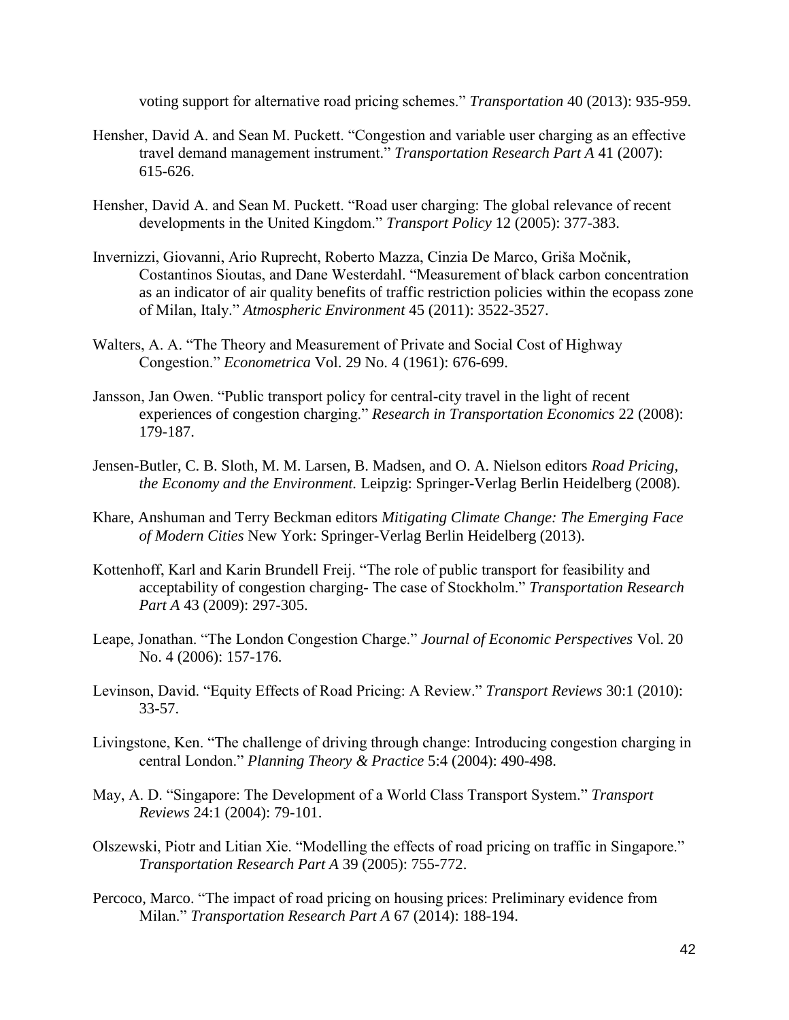voting support for alternative road pricing schemes." *Transportation* 40 (2013): 935-959.

- Hensher, David A. and Sean M. Puckett. "Congestion and variable user charging as an effective travel demand management instrument." *Transportation Research Part A* 41 (2007): 615-626.
- Hensher, David A. and Sean M. Puckett. "Road user charging: The global relevance of recent developments in the United Kingdom." *Transport Policy* 12 (2005): 377-383.
- Invernizzi, Giovanni, Ario Ruprecht, Roberto Mazza, Cinzia De Marco, Griša Močnik, Costantinos Sioutas, and Dane Westerdahl. "Measurement of black carbon concentration as an indicator of air quality benefits of traffic restriction policies within the ecopass zone of Milan, Italy." *Atmospheric Environment* 45 (2011): 3522-3527.
- Walters, A. A. "The Theory and Measurement of Private and Social Cost of Highway Congestion." *Econometrica* Vol. 29 No. 4 (1961): 676-699.
- Jansson, Jan Owen. "Public transport policy for central-city travel in the light of recent experiences of congestion charging." *Research in Transportation Economics* 22 (2008): 179-187.
- Jensen-Butler, C. B. Sloth, M. M. Larsen, B. Madsen, and O. A. Nielson editors *Road Pricing, the Economy and the Environment.* Leipzig: Springer-Verlag Berlin Heidelberg (2008).
- Khare, Anshuman and Terry Beckman editors *Mitigating Climate Change: The Emerging Face of Modern Cities* New York: Springer-Verlag Berlin Heidelberg (2013).
- Kottenhoff, Karl and Karin Brundell Freij. "The role of public transport for feasibility and acceptability of congestion charging- The case of Stockholm." *Transportation Research Part A* 43 (2009): 297-305.
- Leape, Jonathan. "The London Congestion Charge." *Journal of Economic Perspectives* Vol. 20 No. 4 (2006): 157-176.
- Levinson, David. "Equity Effects of Road Pricing: A Review." *Transport Reviews* 30:1 (2010): 33-57.
- Livingstone, Ken. "The challenge of driving through change: Introducing congestion charging in central London." *Planning Theory & Practice* 5:4 (2004): 490-498.
- May, A. D. "Singapore: The Development of a World Class Transport System." *Transport Reviews* 24:1 (2004): 79-101.
- Olszewski, Piotr and Litian Xie. "Modelling the effects of road pricing on traffic in Singapore." *Transportation Research Part A* 39 (2005): 755-772.
- Percoco, Marco. "The impact of road pricing on housing prices: Preliminary evidence from Milan." *Transportation Research Part A* 67 (2014): 188-194.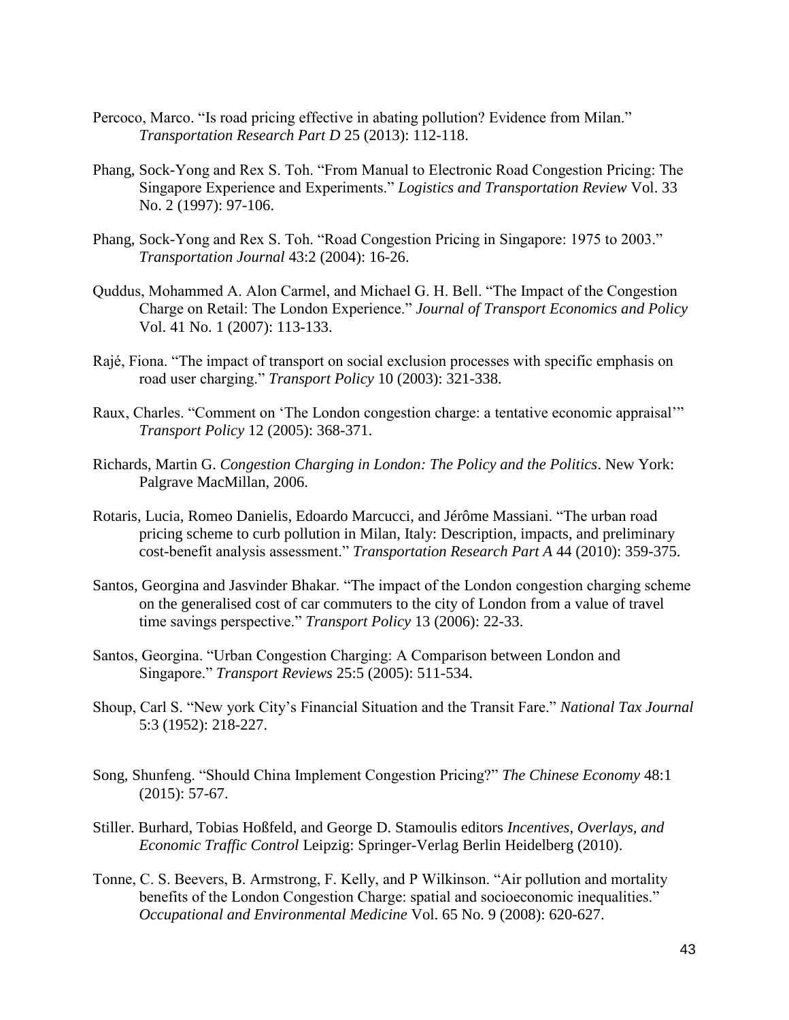- Percoco, Marco. "Is road pricing effective in abating pollution? Evidence from Milan." *Transportation Research Part D* 25 (2013): 112-118.
- Phang, Sock-Yong and Rex S. Toh. "From Manual to Electronic Road Congestion Pricing: The Singapore Experience and Experiments." *Logistics and Transportation Review* Vol. 33 No. 2 (1997): 97-106.
- Phang, Sock-Yong and Rex S. Toh. "Road Congestion Pricing in Singapore: 1975 to 2003." *Transportation Journal* 43:2 (2004): 16-26.
- Quddus, Mohammed A. Alon Carmel, and Michael G. H. Bell. "The Impact of the Congestion Charge on Retail: The London Experience." *Journal of Transport Economics and Policy* Vol. 41 No. 1 (2007): 113-133.
- Rajé, Fiona. "The impact of transport on social exclusion processes with specific emphasis on road user charging." *Transport Policy* 10 (2003): 321-338.
- Raux, Charles. "Comment on 'The London congestion charge: a tentative economic appraisal'" *Transport Policy* 12 (2005): 368-371.
- Richards, Martin G. *Congestion Charging in London: The Policy and the Politics*. New York: Palgrave MacMillan, 2006.
- Rotaris, Lucia, Romeo Danielis, Edoardo Marcucci, and Jérôme Massiani. "The urban road pricing scheme to curb pollution in Milan, Italy: Description, impacts, and preliminary cost-benefit analysis assessment." *Transportation Research Part A* 44 (2010): 359-375.
- Santos, Georgina and Jasvinder Bhakar. "The impact of the London congestion charging scheme on the generalised cost of car commuters to the city of London from a value of travel time savings perspective." *Transport Policy* 13 (2006): 22-33.
- Santos, Georgina. "Urban Congestion Charging: A Comparison between London and Singapore." *Transport Reviews* 25:5 (2005): 511-534.
- Shoup, Carl S. "New york City's Financial Situation and the Transit Fare." *National Tax Journal* 5:3 (1952): 218-227.
- Song, Shunfeng. "Should China Implement Congestion Pricing?" *The Chinese Economy* 48:1 (2015): 57-67.
- Stiller. Burhard, Tobias Hoßfeld, and George D. Stamoulis editors *Incentives, Overlays, and Economic Traffic Control* Leipzig: Springer-Verlag Berlin Heidelberg (2010).
- Tonne, C. S. Beevers, B. Armstrong, F. Kelly, and P Wilkinson. "Air pollution and mortality benefits of the London Congestion Charge: spatial and socioeconomic inequalities." *Occupational and Environmental Medicine* Vol. 65 No. 9 (2008): 620-627.